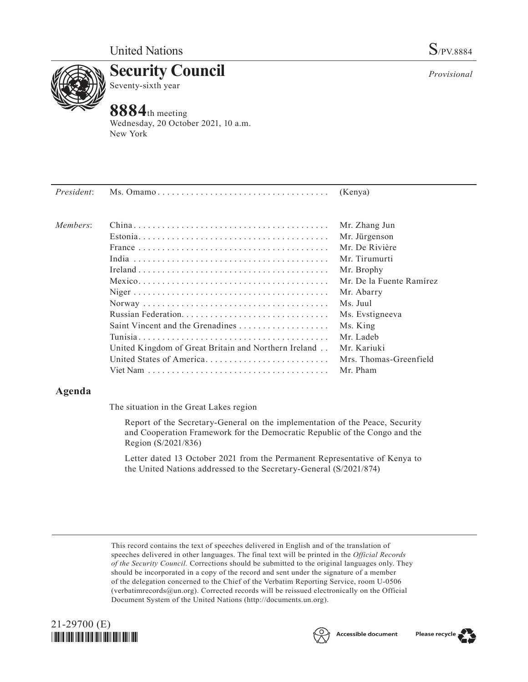

**Security Council** Seventy-sixth year

# **8884**th meeting

Wednesday, 20 October 2021, 10 a.m. New York

| President: |                                                      | (Kenya)                  |
|------------|------------------------------------------------------|--------------------------|
| Members:   |                                                      | Mr. Zhang Jun            |
|            |                                                      | Mr. Jürgenson            |
|            |                                                      | Mr. De Rivière           |
|            |                                                      | Mr. Tirumurti            |
|            |                                                      | Mr. Brophy               |
|            |                                                      | Mr. De la Fuente Ramírez |
|            |                                                      | Mr. Abarry               |
|            |                                                      | Ms. Juul                 |
|            |                                                      | Ms. Evstigneeva          |
|            |                                                      | Ms. King                 |
|            |                                                      | Mr. Ladeb                |
|            | United Kingdom of Great Britain and Northern Ireland | Mr. Kariuki              |
|            | United States of America                             | Mrs. Thomas-Greenfield   |
|            |                                                      | Mr. Pham                 |
|            |                                                      |                          |

## **Agenda**

The situation in the Great Lakes region

Report of the Secretary-General on the implementation of the Peace, Security and Cooperation Framework for the Democratic Republic of the Congo and the Region (S/2021/836)

Letter dated 13 October 2021 from the Permanent Representative of Kenya to the United Nations addressed to the Secretary-General (S/2021/874)

This record contains the text of speeches delivered in English and of the translation of speeches delivered in other languages. The final text will be printed in the *Official Records of the Security Council.* Corrections should be submitted to the original languages only. They should be incorporated in a copy of the record and sent under the signature of a member of the delegation concerned to the Chief of the Verbatim Reporting Service, room U-0506 (verbatimrecords@un.org). Corrected records will be reissued electronically on the Official Document System of the United Nations (http://documents.un.org).





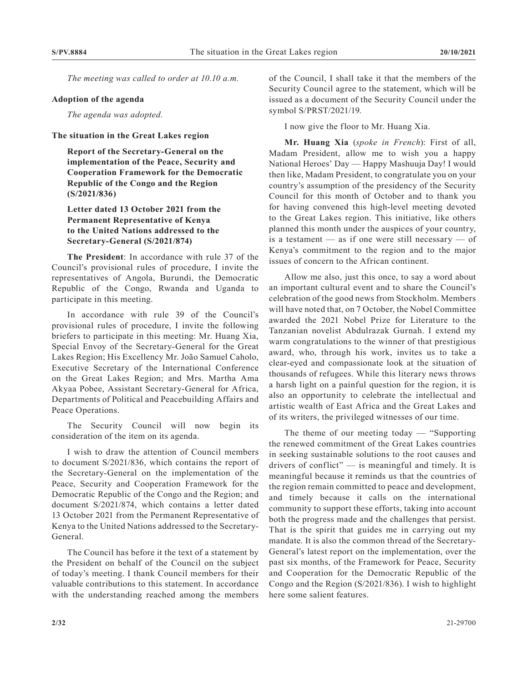*The meeting was called to order at 10.10 a.m.*

#### **Adoption of the agenda**

*The agenda was adopted.*

#### **The situation in the Great Lakes region**

**Report of the Secretary-General on the implementation of the Peace, Security and Cooperation Framework for the Democratic Republic of the Congo and the Region (S/2021/836)**

### **Letter dated 13 October 2021 from the Permanent Representative of Kenya to the United Nations addressed to the Secretary-General (S/2021/874)**

**The President**: In accordance with rule 37 of the Council's provisional rules of procedure, I invite the representatives of Angola, Burundi, the Democratic Republic of the Congo, Rwanda and Uganda to participate in this meeting.

In accordance with rule 39 of the Council's provisional rules of procedure, I invite the following briefers to participate in this meeting: Mr. Huang Xia, Special Envoy of the Secretary-General for the Great Lakes Region; His Excellency Mr. João Samuel Caholo, Executive Secretary of the International Conference on the Great Lakes Region; and Mrs. Martha Ama Akyaa Pobee, Assistant Secretary-General for Africa, Departments of Political and Peacebuilding Affairs and Peace Operations.

The Security Council will now begin its consideration of the item on its agenda.

I wish to draw the attention of Council members to document S/2021/836, which contains the report of the Secretary-General on the implementation of the Peace, Security and Cooperation Framework for the Democratic Republic of the Congo and the Region; and document S/2021/874, which contains a letter dated 13 October 2021 from the Permanent Representative of Kenya to the United Nations addressed to the Secretary-General.

The Council has before it the text of a statement by the President on behalf of the Council on the subject of today's meeting. I thank Council members for their valuable contributions to this statement. In accordance with the understanding reached among the members

of the Council, I shall take it that the members of the Security Council agree to the statement, which will be issued as a document of the Security Council under the symbol S/PRST/2021/19.

I now give the floor to Mr. Huang Xia.

**Mr. Huang Xia** (*spoke in French*): First of all, Madam President, allow me to wish you a happy National Heroes' Day — Happy Mashuuja Day! I would then like, Madam President, to congratulate you on your country's assumption of the presidency of the Security Council for this month of October and to thank you for having convened this high-level meeting devoted to the Great Lakes region. This initiative, like others planned this month under the auspices of your country, is a testament  $-$  as if one were still necessary  $-$  of Kenya's commitment to the region and to the major issues of concern to the African continent.

Allow me also, just this once, to say a word about an important cultural event and to share the Council's celebration of the good news from Stockholm. Members will have noted that, on 7 October, the Nobel Committee awarded the 2021 Nobel Prize for Literature to the Tanzanian novelist Abdulrazak Gurnah. I extend my warm congratulations to the winner of that prestigious award, who, through his work, invites us to take a clear-eyed and compassionate look at the situation of thousands of refugees. While this literary news throws a harsh light on a painful question for the region, it is also an opportunity to celebrate the intellectual and artistic wealth of East Africa and the Great Lakes and of its writers, the privileged witnesses of our time.

The theme of our meeting today — "Supporting the renewed commitment of the Great Lakes countries in seeking sustainable solutions to the root causes and drivers of conflict"  $\frac{1}{\sqrt{2}}$  is meaningful and timely. It is meaningful because it reminds us that the countries of the region remain committed to peace and development, and timely because it calls on the international community to support these efforts, taking into account both the progress made and the challenges that persist. That is the spirit that guides me in carrying out my mandate. It is also the common thread of the Secretary-General's latest report on the implementation, over the past six months, of the Framework for Peace, Security and Cooperation for the Democratic Republic of the Congo and the Region (S/2021/836). I wish to highlight here some salient features.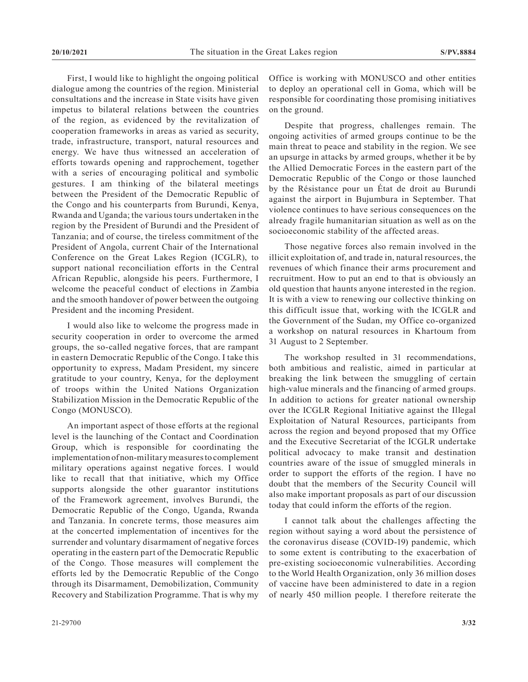First, I would like to highlight the ongoing political dialogue among the countries of the region. Ministerial consultations and the increase in State visits have given impetus to bilateral relations between the countries of the region, as evidenced by the revitalization of cooperation frameworks in areas as varied as security, trade, infrastructure, transport, natural resources and energy. We have thus witnessed an acceleration of efforts towards opening and rapprochement, together with a series of encouraging political and symbolic gestures. I am thinking of the bilateral meetings between the President of the Democratic Republic of the Congo and his counterparts from Burundi, Kenya, Rwanda and Uganda; the various tours undertaken in the region by the President of Burundi and the President of Tanzania; and of course, the tireless commitment of the President of Angola, current Chair of the International Conference on the Great Lakes Region (ICGLR), to support national reconciliation efforts in the Central African Republic, alongside his peers. Furthermore, I welcome the peaceful conduct of elections in Zambia and the smooth handover of power between the outgoing President and the incoming President.

I would also like to welcome the progress made in security cooperation in order to overcome the armed groups, the so-called negative forces, that are rampant in eastern Democratic Republic of the Congo. I take this opportunity to express, Madam President, my sincere gratitude to your country, Kenya, for the deployment of troops within the United Nations Organization Stabilization Mission in the Democratic Republic of the Congo (MONUSCO).

An important aspect of those efforts at the regional level is the launching of the Contact and Coordination Group, which is responsible for coordinating the implementation of non-military measures to complement military operations against negative forces. I would like to recall that that initiative, which my Office supports alongside the other guarantor institutions of the Framework agreement, involves Burundi, the Democratic Republic of the Congo, Uganda, Rwanda and Tanzania. In concrete terms, those measures aim at the concerted implementation of incentives for the surrender and voluntary disarmament of negative forces operating in the eastern part of the Democratic Republic of the Congo. Those measures will complement the efforts led by the Democratic Republic of the Congo through its Disarmament, Demobilization, Community Recovery and Stabilization Programme. That is why my

Office is working with MONUSCO and other entities to deploy an operational cell in Goma, which will be responsible for coordinating those promising initiatives on the ground.

Despite that progress, challenges remain. The ongoing activities of armed groups continue to be the main threat to peace and stability in the region. We see an upsurge in attacks by armed groups, whether it be by the Allied Democratic Forces in the eastern part of the Democratic Republic of the Congo or those launched by the Résistance pour un État de droit au Burundi against the airport in Bujumbura in September. That violence continues to have serious consequences on the already fragile humanitarian situation as well as on the socioeconomic stability of the affected areas.

Those negative forces also remain involved in the illicit exploitation of, and trade in, natural resources, the revenues of which finance their arms procurement and recruitment. How to put an end to that is obviously an old question that haunts anyone interested in the region. It is with a view to renewing our collective thinking on this difficult issue that, working with the ICGLR and the Government of the Sudan, my Office co-organized a workshop on natural resources in Khartoum from 31 August to 2 September.

The workshop resulted in 31 recommendations, both ambitious and realistic, aimed in particular at breaking the link between the smuggling of certain high-value minerals and the financing of armed groups. In addition to actions for greater national ownership over the ICGLR Regional Initiative against the Illegal Exploitation of Natural Resources, participants from across the region and beyond proposed that my Office and the Executive Secretariat of the ICGLR undertake political advocacy to make transit and destination countries aware of the issue of smuggled minerals in order to support the efforts of the region. I have no doubt that the members of the Security Council will also make important proposals as part of our discussion today that could inform the efforts of the region.

I cannot talk about the challenges affecting the region without saying a word about the persistence of the coronavirus disease (COVID-19) pandemic, which to some extent is contributing to the exacerbation of pre-existing socioeconomic vulnerabilities. According to the World Health Organization, only 36 million doses of vaccine have been administered to date in a region of nearly 450 million people. I therefore reiterate the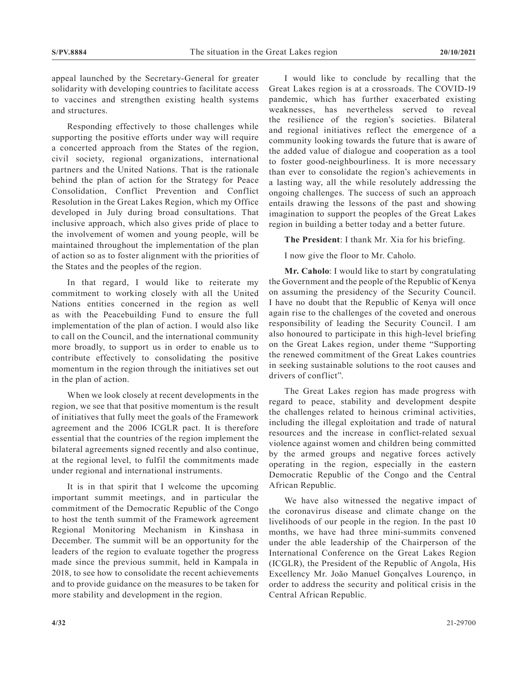appeal launched by the Secretary-General for greater solidarity with developing countries to facilitate access to vaccines and strengthen existing health systems and structures.

Responding effectively to those challenges while supporting the positive efforts under way will require a concerted approach from the States of the region, civil society, regional organizations, international partners and the United Nations. That is the rationale behind the plan of action for the Strategy for Peace Consolidation, Conflict Prevention and Conflict Resolution in the Great Lakes Region, which my Office developed in July during broad consultations. That inclusive approach, which also gives pride of place to the involvement of women and young people, will be maintained throughout the implementation of the plan of action so as to foster alignment with the priorities of the States and the peoples of the region.

In that regard, I would like to reiterate my commitment to working closely with all the United Nations entities concerned in the region as well as with the Peacebuilding Fund to ensure the full implementation of the plan of action. I would also like to call on the Council, and the international community more broadly, to support us in order to enable us to contribute effectively to consolidating the positive momentum in the region through the initiatives set out in the plan of action.

When we look closely at recent developments in the region, we see that that positive momentum is the result of initiatives that fully meet the goals of the Framework agreement and the 2006 ICGLR pact. It is therefore essential that the countries of the region implement the bilateral agreements signed recently and also continue, at the regional level, to fulfil the commitments made under regional and international instruments.

It is in that spirit that I welcome the upcoming important summit meetings, and in particular the commitment of the Democratic Republic of the Congo to host the tenth summit of the Framework agreement Regional Monitoring Mechanism in Kinshasa in December. The summit will be an opportunity for the leaders of the region to evaluate together the progress made since the previous summit, held in Kampala in 2018, to see how to consolidate the recent achievements and to provide guidance on the measures to be taken for more stability and development in the region.

I would like to conclude by recalling that the Great Lakes region is at a crossroads. The COVID-19 pandemic, which has further exacerbated existing weaknesses, has nevertheless served to reveal the resilience of the region's societies. Bilateral and regional initiatives reflect the emergence of a community looking towards the future that is aware of the added value of dialogue and cooperation as a tool to foster good-neighbourliness. It is more necessary than ever to consolidate the region's achievements in a lasting way, all the while resolutely addressing the ongoing challenges. The success of such an approach entails drawing the lessons of the past and showing imagination to support the peoples of the Great Lakes region in building a better today and a better future.

**The President**: I thank Mr. Xia for his briefing.

I now give the floor to Mr. Caholo.

**Mr. Caholo**: I would like to start by congratulating the Government and the people of the Republic of Kenya on assuming the presidency of the Security Council. I have no doubt that the Republic of Kenya will once again rise to the challenges of the coveted and onerous responsibility of leading the Security Council. I am also honoured to participate in this high-level briefing on the Great Lakes region, under theme "Supporting the renewed commitment of the Great Lakes countries in seeking sustainable solutions to the root causes and drivers of conflict".

The Great Lakes region has made progress with regard to peace, stability and development despite the challenges related to heinous criminal activities, including the illegal exploitation and trade of natural resources and the increase in conflict-related sexual violence against women and children being committed by the armed groups and negative forces actively operating in the region, especially in the eastern Democratic Republic of the Congo and the Central African Republic.

We have also witnessed the negative impact of the coronavirus disease and climate change on the livelihoods of our people in the region. In the past 10 months, we have had three mini-summits convened under the able leadership of the Chairperson of the International Conference on the Great Lakes Region (ICGLR), the President of the Republic of Angola, His Excellency Mr. João Manuel Gonçalves Lourenço, in order to address the security and political crisis in the Central African Republic.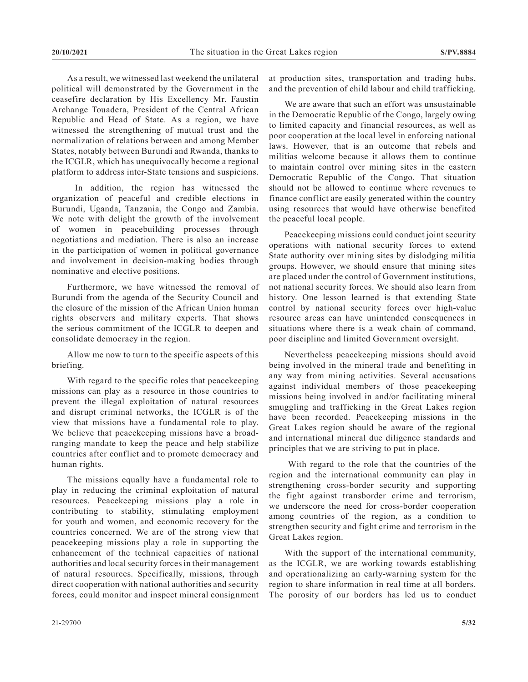As a result, we witnessed last weekend the unilateral political will demonstrated by the Government in the ceasefire declaration by His Excellency Mr. Faustin Archange Touadera, President of the Central African Republic and Head of State. As a region, we have witnessed the strengthening of mutual trust and the normalization of relations between and among Member States, notably between Burundi and Rwanda, thanks to the ICGLR, which has unequivocally become a regional platform to address inter-State tensions and suspicions.

 In addition, the region has witnessed the organization of peaceful and credible elections in Burundi, Uganda, Tanzania, the Congo and Zambia. We note with delight the growth of the involvement of women in peacebuilding processes through negotiations and mediation. There is also an increase in the participation of women in political governance and involvement in decision-making bodies through nominative and elective positions.

Furthermore, we have witnessed the removal of Burundi from the agenda of the Security Council and the closure of the mission of the African Union human rights observers and military experts. That shows the serious commitment of the ICGLR to deepen and consolidate democracy in the region.

Allow me now to turn to the specific aspects of this briefing.

With regard to the specific roles that peacekeeping missions can play as a resource in those countries to prevent the illegal exploitation of natural resources and disrupt criminal networks, the ICGLR is of the view that missions have a fundamental role to play. We believe that peacekeeping missions have a broadranging mandate to keep the peace and help stabilize countries after conflict and to promote democracy and human rights.

The missions equally have a fundamental role to play in reducing the criminal exploitation of natural resources. Peacekeeping missions play a role in contributing to stability, stimulating employment for youth and women, and economic recovery for the countries concerned. We are of the strong view that peacekeeping missions play a role in supporting the enhancement of the technical capacities of national authorities and local security forces in their management of natural resources. Specifically, missions, through direct cooperation with national authorities and security forces, could monitor and inspect mineral consignment

at production sites, transportation and trading hubs, and the prevention of child labour and child trafficking.

We are aware that such an effort was unsustainable in the Democratic Republic of the Congo, largely owing to limited capacity and financial resources, as well as poor cooperation at the local level in enforcing national laws. However, that is an outcome that rebels and militias welcome because it allows them to continue to maintain control over mining sites in the eastern Democratic Republic of the Congo. That situation should not be allowed to continue where revenues to finance conflict are easily generated within the country using resources that would have otherwise benefited the peaceful local people.

Peacekeeping missions could conduct joint security operations with national security forces to extend State authority over mining sites by dislodging militia groups. However, we should ensure that mining sites are placed under the control of Government institutions, not national security forces. We should also learn from history. One lesson learned is that extending State control by national security forces over high-value resource areas can have unintended consequences in situations where there is a weak chain of command, poor discipline and limited Government oversight.

Nevertheless peacekeeping missions should avoid being involved in the mineral trade and benefiting in any way from mining activities. Several accusations against individual members of those peacekeeping missions being involved in and/or facilitating mineral smuggling and trafficking in the Great Lakes region have been recorded. Peacekeeping missions in the Great Lakes region should be aware of the regional and international mineral due diligence standards and principles that we are striving to put in place.

 With regard to the role that the countries of the region and the international community can play in strengthening cross-border security and supporting the fight against transborder crime and terrorism, we underscore the need for cross-border cooperation among countries of the region, as a condition to strengthen security and fight crime and terrorism in the Great Lakes region.

With the support of the international community, as the ICGLR, we are working towards establishing and operationalizing an early-warning system for the region to share information in real time at all borders. The porosity of our borders has led us to conduct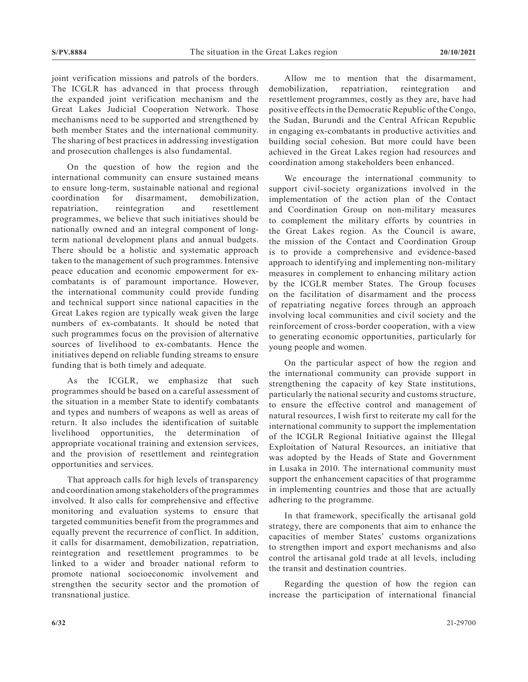joint verification missions and patrols of the borders. The ICGLR has advanced in that process through the expanded joint verification mechanism and the Great Lakes Judicial Cooperation Network. Those mechanisms need to be supported and strengthened by both member States and the international community. The sharing of best practices in addressing investigation and prosecution challenges is also fundamental.

On the question of how the region and the international community can ensure sustained means to ensure long-term, sustainable national and regional coordination for disarmament, demobilization, repatriation, reintegration and resettlement programmes, we believe that such initiatives should be nationally owned and an integral component of longterm national development plans and annual budgets. There should be a holistic and systematic approach taken to the management of such programmes. Intensive peace education and economic empowerment for excombatants is of paramount importance. However, the international community could provide funding and technical support since national capacities in the Great Lakes region are typically weak given the large numbers of ex-combatants. It should be noted that such programmes focus on the provision of alternative sources of livelihood to ex-combatants. Hence the initiatives depend on reliable funding streams to ensure funding that is both timely and adequate.

As the ICGLR, we emphasize that such programmes should be based on a careful assessment of the situation in a member State to identify combatants and types and numbers of weapons as well as areas of return. It also includes the identification of suitable livelihood opportunities, the determination of appropriate vocational training and extension services, and the provision of resettlement and reintegration opportunities and services.

That approach calls for high levels of transparency and coordination among stakeholders of the programmes involved. It also calls for comprehensive and effective monitoring and evaluation systems to ensure that targeted communities benefit from the programmes and equally prevent the recurrence of conflict. In addition, it calls for disarmament, demobilization, repatriation, reintegration and resettlement programmes to be linked to a wider and broader national reform to promote national socioeconomic involvement and strengthen the security sector and the promotion of transnational justice.

Allow me to mention that the disarmament, demobilization, repatriation, reintegration and resettlement programmes, costly as they are, have had positive effects in the Democratic Republic of the Congo, the Sudan, Burundi and the Central African Republic in engaging ex-combatants in productive activities and building social cohesion. But more could have been achieved in the Great Lakes region had resources and coordination among stakeholders been enhanced.

We encourage the international community to support civil-society organizations involved in the implementation of the action plan of the Contact and Coordination Group on non-military measures to complement the military efforts by countries in the Great Lakes region. As the Council is aware, the mission of the Contact and Coordination Group is to provide a comprehensive and evidence-based approach to identifying and implementing non-military measures in complement to enhancing military action by the ICGLR member States. The Group focuses on the facilitation of disarmament and the process of repatriating negative forces through an approach involving local communities and civil society and the reinforcement of cross-border cooperation, with a view to generating economic opportunities, particularly for young people and women.

On the particular aspect of how the region and the international community can provide support in strengthening the capacity of key State institutions, particularly the national security and customs structure, to ensure the effective control and management of natural resources, I wish first to reiterate my call for the international community to support the implementation of the ICGLR Regional Initiative against the Illegal Exploitation of Natural Resources, an initiative that was adopted by the Heads of State and Government in Lusaka in 2010. The international community must support the enhancement capacities of that programme in implementing countries and those that are actually adhering to the programme.

In that framework, specifically the artisanal gold strategy, there are components that aim to enhance the capacities of member States' customs organizations to strengthen import and export mechanisms and also control the artisanal gold trade at all levels, including the transit and destination countries.

Regarding the question of how the region can increase the participation of international financial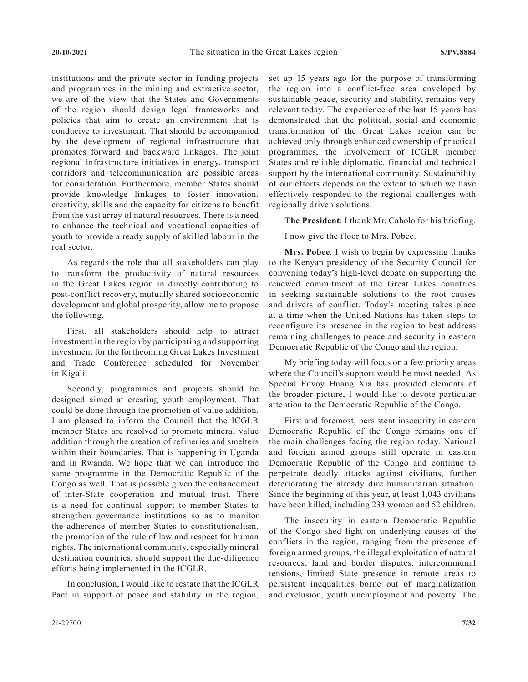institutions and the private sector in funding projects and programmes in the mining and extractive sector, we are of the view that the States and Governments of the region should design legal frameworks and policies that aim to create an environment that is conducive to investment. That should be accompanied by the development of regional infrastructure that promotes forward and backward linkages. The joint regional infrastructure initiatives in energy, transport corridors and telecommunication are possible areas for consideration. Furthermore, member States should provide knowledge linkages to foster innovation, creativity, skills and the capacity for citizens to benefit from the vast array of natural resources. There is a need to enhance the technical and vocational capacities of youth to provide a ready supply of skilled labour in the real sector.

As regards the role that all stakeholders can play to transform the productivity of natural resources in the Great Lakes region in directly contributing to post-conflict recovery, mutually shared socioeconomic development and global prosperity, allow me to propose the following.

First, all stakeholders should help to attract investment in the region by participating and supporting investment for the forthcoming Great Lakes Investment and Trade Conference scheduled for November in Kigali.

Secondly, programmes and projects should be designed aimed at creating youth employment. That could be done through the promotion of value addition. I am pleased to inform the Council that the ICGLR member States are resolved to promote mineral value addition through the creation of refineries and smelters within their boundaries. That is happening in Uganda and in Rwanda. We hope that we can introduce the same programme in the Democratic Republic of the Congo as well. That is possible given the enhancement of inter-State cooperation and mutual trust. There is a need for continual support to member States to strengthen governance institutions so as to monitor the adherence of member States to constitutionalism, the promotion of the rule of law and respect for human rights. The international community, especially mineral destination countries, should support the due-diligence efforts being implemented in the ICGLR.

In conclusion, I would like to restate that the ICGLR Pact in support of peace and stability in the region, set up 15 years ago for the purpose of transforming the region into a conflict-free area enveloped by sustainable peace, security and stability, remains very relevant today. The experience of the last 15 years has demonstrated that the political, social and economic transformation of the Great Lakes region can be achieved only through enhanced ownership of practical programmes, the involvement of ICGLR member States and reliable diplomatic, financial and technical support by the international community. Sustainability of our efforts depends on the extent to which we have effectively responded to the regional challenges with regionally driven solutions.

**The President**: I thank Mr. Caholo for his briefing.

I now give the floor to Mrs. Pobee.

**Mrs. Pobee**: I wish to begin by expressing thanks to the Kenyan presidency of the Security Council for convening today's high-level debate on supporting the renewed commitment of the Great Lakes countries in seeking sustainable solutions to the root causes and drivers of conflict. Today's meeting takes place at a time when the United Nations has taken steps to reconfigure its presence in the region to best address remaining challenges to peace and security in eastern Democratic Republic of the Congo and the region.

My briefing today will focus on a few priority areas where the Council's support would be most needed. As Special Envoy Huang Xia has provided elements of the broader picture, I would like to devote particular attention to the Democratic Republic of the Congo.

First and foremost, persistent insecurity in eastern Democratic Republic of the Congo remains one of the main challenges facing the region today. National and foreign armed groups still operate in eastern Democratic Republic of the Congo and continue to perpetrate deadly attacks against civilians, further deteriorating the already dire humanitarian situation. Since the beginning of this year, at least 1,043 civilians have been killed, including 233 women and 52 children.

The insecurity in eastern Democratic Republic of the Congo shed light on underlying causes of the conflicts in the region, ranging from the presence of foreign armed groups, the illegal exploitation of natural resources, land and border disputes, intercommunal tensions, limited State presence in remote areas to persistent inequalities borne out of marginalization and exclusion, youth unemployment and poverty. The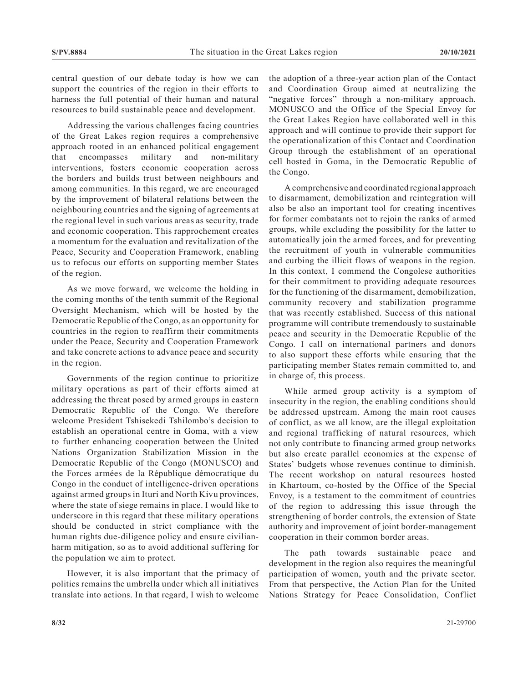central question of our debate today is how we can support the countries of the region in their efforts to harness the full potential of their human and natural resources to build sustainable peace and development.

Addressing the various challenges facing countries of the Great Lakes region requires a comprehensive approach rooted in an enhanced political engagement that encompasses military and non-military interventions, fosters economic cooperation across the borders and builds trust between neighbours and among communities. In this regard, we are encouraged by the improvement of bilateral relations between the neighbouring countries and the signing of agreements at the regional level in such various areas as security, trade and economic cooperation. This rapprochement creates a momentum for the evaluation and revitalization of the Peace, Security and Cooperation Framework, enabling us to refocus our efforts on supporting member States of the region.

As we move forward, we welcome the holding in the coming months of the tenth summit of the Regional Oversight Mechanism, which will be hosted by the Democratic Republic of the Congo, as an opportunity for countries in the region to reaffirm their commitments under the Peace, Security and Cooperation Framework and take concrete actions to advance peace and security in the region.

Governments of the region continue to prioritize military operations as part of their efforts aimed at addressing the threat posed by armed groups in eastern Democratic Republic of the Congo. We therefore welcome President Tshisekedi Tshilombo's decision to establish an operational centre in Goma, with a view to further enhancing cooperation between the United Nations Organization Stabilization Mission in the Democratic Republic of the Congo (MONUSCO) and the Forces armées de la République démocratique du Congo in the conduct of intelligence-driven operations against armed groups in Ituri and North Kivu provinces, where the state of siege remains in place. I would like to underscore in this regard that these military operations should be conducted in strict compliance with the human rights due-diligence policy and ensure civilianharm mitigation, so as to avoid additional suffering for the population we aim to protect.

However, it is also important that the primacy of politics remains the umbrella under which all initiatives translate into actions. In that regard, I wish to welcome

the adoption of a three-year action plan of the Contact and Coordination Group aimed at neutralizing the "negative forces" through a non-military approach. MONUSCO and the Office of the Special Envoy for the Great Lakes Region have collaborated well in this approach and will continue to provide their support for the operationalization of this Contact and Coordination Group through the establishment of an operational cell hosted in Goma, in the Democratic Republic of the Congo.

A comprehensive and coordinated regional approach to disarmament, demobilization and reintegration will also be also an important tool for creating incentives for former combatants not to rejoin the ranks of armed groups, while excluding the possibility for the latter to automatically join the armed forces, and for preventing the recruitment of youth in vulnerable communities and curbing the illicit flows of weapons in the region. In this context, I commend the Congolese authorities for their commitment to providing adequate resources for the functioning of the disarmament, demobilization, community recovery and stabilization programme that was recently established. Success of this national programme will contribute tremendously to sustainable peace and security in the Democratic Republic of the Congo. I call on international partners and donors to also support these efforts while ensuring that the participating member States remain committed to, and in charge of, this process.

While armed group activity is a symptom of insecurity in the region, the enabling conditions should be addressed upstream. Among the main root causes of conflict, as we all know, are the illegal exploitation and regional trafficking of natural resources, which not only contribute to financing armed group networks but also create parallel economies at the expense of States' budgets whose revenues continue to diminish. The recent workshop on natural resources hosted in Khartoum, co-hosted by the Office of the Special Envoy, is a testament to the commitment of countries of the region to addressing this issue through the strengthening of border controls, the extension of State authority and improvement of joint border-management cooperation in their common border areas.

The path towards sustainable peace and development in the region also requires the meaningful participation of women, youth and the private sector. From that perspective, the Action Plan for the United Nations Strategy for Peace Consolidation, Conflict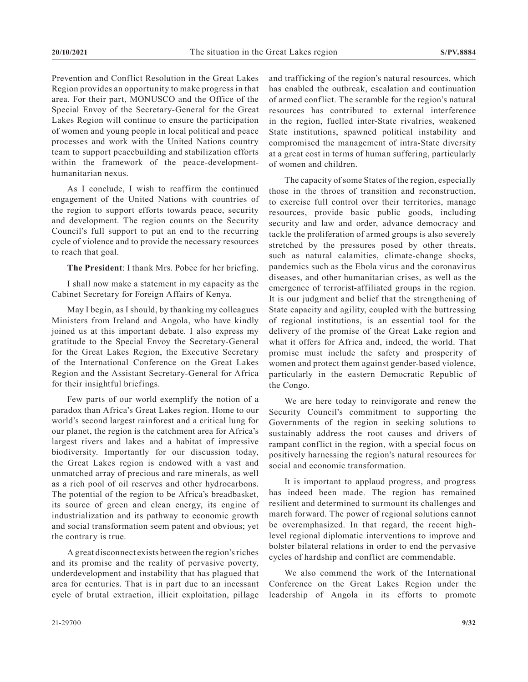Prevention and Conflict Resolution in the Great Lakes Region provides an opportunity to make progress in that area. For their part, MONUSCO and the Office of the Special Envoy of the Secretary-General for the Great Lakes Region will continue to ensure the participation of women and young people in local political and peace processes and work with the United Nations country team to support peacebuilding and stabilization efforts within the framework of the peace-developmenthumanitarian nexus.

As I conclude, I wish to reaffirm the continued engagement of the United Nations with countries of the region to support efforts towards peace, security and development. The region counts on the Security Council's full support to put an end to the recurring cycle of violence and to provide the necessary resources to reach that goal.

**The President**: I thank Mrs. Pobee for her briefing.

I shall now make a statement in my capacity as the Cabinet Secretary for Foreign Affairs of Kenya.

May I begin, as I should, by thanking my colleagues Ministers from Ireland and Angola, who have kindly joined us at this important debate. I also express my gratitude to the Special Envoy the Secretary-General for the Great Lakes Region, the Executive Secretary of the International Conference on the Great Lakes Region and the Assistant Secretary-General for Africa for their insightful briefings.

Few parts of our world exemplify the notion of a paradox than Africa's Great Lakes region. Home to our world's second largest rainforest and a critical lung for our planet, the region is the catchment area for Africa's largest rivers and lakes and a habitat of impressive biodiversity. Importantly for our discussion today, the Great Lakes region is endowed with a vast and unmatched array of precious and rare minerals, as well as a rich pool of oil reserves and other hydrocarbons. The potential of the region to be Africa's breadbasket, its source of green and clean energy, its engine of industrialization and its pathway to economic growth and social transformation seem patent and obvious; yet the contrary is true.

A great disconnect exists between the region's riches and its promise and the reality of pervasive poverty, underdevelopment and instability that has plagued that area for centuries. That is in part due to an incessant cycle of brutal extraction, illicit exploitation, pillage

and trafficking of the region's natural resources, which has enabled the outbreak, escalation and continuation of armed conflict. The scramble for the region's natural resources has contributed to external interference in the region, fuelled inter-State rivalries, weakened State institutions, spawned political instability and compromised the management of intra-State diversity at a great cost in terms of human suffering, particularly of women and children.

The capacity of some States of the region, especially those in the throes of transition and reconstruction, to exercise full control over their territories, manage resources, provide basic public goods, including security and law and order, advance democracy and tackle the proliferation of armed groups is also severely stretched by the pressures posed by other threats, such as natural calamities, climate-change shocks, pandemics such as the Ebola virus and the coronavirus diseases, and other humanitarian crises, as well as the emergence of terrorist-affiliated groups in the region. It is our judgment and belief that the strengthening of State capacity and agility, coupled with the buttressing of regional institutions, is an essential tool for the delivery of the promise of the Great Lake region and what it offers for Africa and, indeed, the world. That promise must include the safety and prosperity of women and protect them against gender-based violence, particularly in the eastern Democratic Republic of the Congo.

We are here today to reinvigorate and renew the Security Council's commitment to supporting the Governments of the region in seeking solutions to sustainably address the root causes and drivers of rampant conflict in the region, with a special focus on positively harnessing the region's natural resources for social and economic transformation.

It is important to applaud progress, and progress has indeed been made. The region has remained resilient and determined to surmount its challenges and march forward. The power of regional solutions cannot be overemphasized. In that regard, the recent highlevel regional diplomatic interventions to improve and bolster bilateral relations in order to end the pervasive cycles of hardship and conflict are commendable.

We also commend the work of the International Conference on the Great Lakes Region under the leadership of Angola in its efforts to promote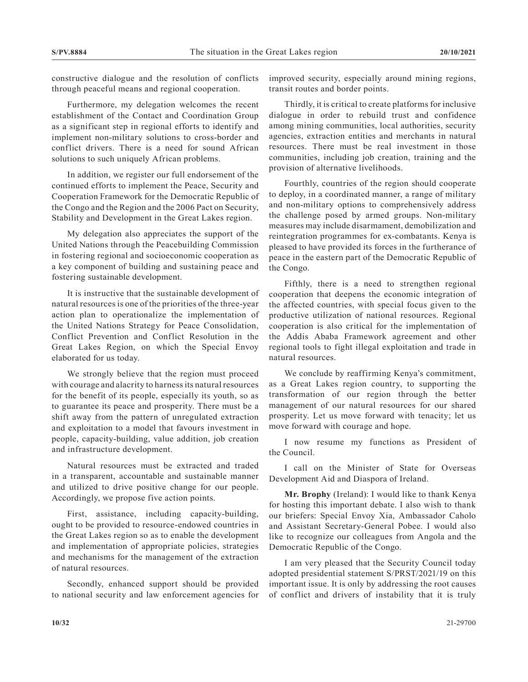constructive dialogue and the resolution of conflicts through peaceful means and regional cooperation.

Furthermore, my delegation welcomes the recent establishment of the Contact and Coordination Group as a significant step in regional efforts to identify and implement non-military solutions to cross-border and conflict drivers. There is a need for sound African solutions to such uniquely African problems.

In addition, we register our full endorsement of the continued efforts to implement the Peace, Security and Cooperation Framework for the Democratic Republic of the Congo and the Region and the 2006 Pact on Security, Stability and Development in the Great Lakes region.

My delegation also appreciates the support of the United Nations through the Peacebuilding Commission in fostering regional and socioeconomic cooperation as a key component of building and sustaining peace and fostering sustainable development.

It is instructive that the sustainable development of natural resources is one of the priorities of the three-year action plan to operationalize the implementation of the United Nations Strategy for Peace Consolidation, Conflict Prevention and Conflict Resolution in the Great Lakes Region, on which the Special Envoy elaborated for us today.

We strongly believe that the region must proceed with courage and alacrity to harness its natural resources for the benefit of its people, especially its youth, so as to guarantee its peace and prosperity. There must be a shift away from the pattern of unregulated extraction and exploitation to a model that favours investment in people, capacity-building, value addition, job creation and infrastructure development.

Natural resources must be extracted and traded in a transparent, accountable and sustainable manner and utilized to drive positive change for our people. Accordingly, we propose five action points.

First, assistance, including capacity-building, ought to be provided to resource-endowed countries in the Great Lakes region so as to enable the development and implementation of appropriate policies, strategies and mechanisms for the management of the extraction of natural resources.

Secondly, enhanced support should be provided to national security and law enforcement agencies for improved security, especially around mining regions, transit routes and border points.

Thirdly, it is critical to create platforms for inclusive dialogue in order to rebuild trust and confidence among mining communities, local authorities, security agencies, extraction entities and merchants in natural resources. There must be real investment in those communities, including job creation, training and the provision of alternative livelihoods.

Fourthly, countries of the region should cooperate to deploy, in a coordinated manner, a range of military and non-military options to comprehensively address the challenge posed by armed groups. Non-military measures may include disarmament, demobilization and reintegration programmes for ex-combatants. Kenya is pleased to have provided its forces in the furtherance of peace in the eastern part of the Democratic Republic of the Congo.

Fifthly, there is a need to strengthen regional cooperation that deepens the economic integration of the affected countries, with special focus given to the productive utilization of national resources. Regional cooperation is also critical for the implementation of the Addis Ababa Framework agreement and other regional tools to fight illegal exploitation and trade in natural resources.

We conclude by reaffirming Kenya's commitment, as a Great Lakes region country, to supporting the transformation of our region through the better management of our natural resources for our shared prosperity. Let us move forward with tenacity; let us move forward with courage and hope.

I now resume my functions as President of the Council.

I call on the Minister of State for Overseas Development Aid and Diaspora of Ireland.

**Mr. Brophy** (Ireland): I would like to thank Kenya for hosting this important debate. I also wish to thank our briefers: Special Envoy Xia, Ambassador Caholo and Assistant Secretary-General Pobee. I would also like to recognize our colleagues from Angola and the Democratic Republic of the Congo.

I am very pleased that the Security Council today adopted presidential statement S/PRST/2021/19 on this important issue. It is only by addressing the root causes of conflict and drivers of instability that it is truly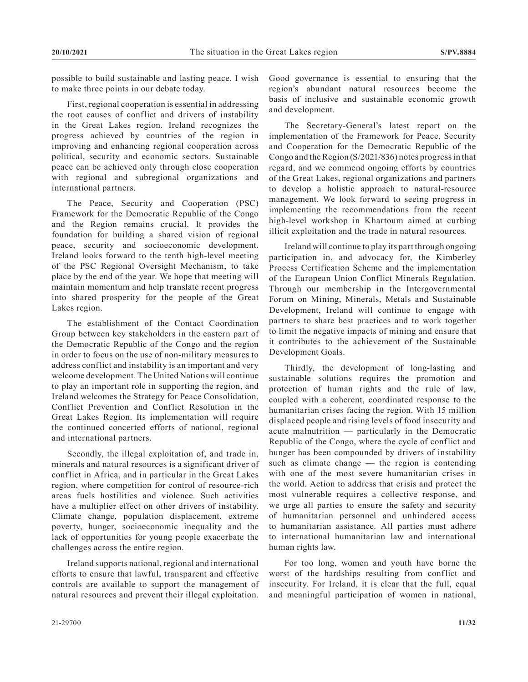possible to build sustainable and lasting peace. I wish to make three points in our debate today.

First, regional cooperation is essential in addressing the root causes of conflict and drivers of instability in the Great Lakes region. Ireland recognizes the progress achieved by countries of the region in improving and enhancing regional cooperation across political, security and economic sectors. Sustainable peace can be achieved only through close cooperation with regional and subregional organizations and international partners.

The Peace, Security and Cooperation (PSC) Framework for the Democratic Republic of the Congo and the Region remains crucial. It provides the foundation for building a shared vision of regional peace, security and socioeconomic development. Ireland looks forward to the tenth high-level meeting of the PSC Regional Oversight Mechanism, to take place by the end of the year. We hope that meeting will maintain momentum and help translate recent progress into shared prosperity for the people of the Great Lakes region.

The establishment of the Contact Coordination Group between key stakeholders in the eastern part of the Democratic Republic of the Congo and the region in order to focus on the use of non-military measures to address conflict and instability is an important and very welcome development. The United Nations will continue to play an important role in supporting the region, and Ireland welcomes the Strategy for Peace Consolidation, Conflict Prevention and Conflict Resolution in the Great Lakes Region. Its implementation will require the continued concerted efforts of national, regional and international partners.

Secondly, the illegal exploitation of, and trade in, minerals and natural resources is a significant driver of conflict in Africa, and in particular in the Great Lakes region, where competition for control of resource-rich areas fuels hostilities and violence. Such activities have a multiplier effect on other drivers of instability. Climate change, population displacement, extreme poverty, hunger, socioeconomic inequality and the lack of opportunities for young people exacerbate the challenges across the entire region.

Ireland supports national, regional and international efforts to ensure that lawful, transparent and effective controls are available to support the management of natural resources and prevent their illegal exploitation.

Good governance is essential to ensuring that the region's abundant natural resources become the basis of inclusive and sustainable economic growth and development.

The Secretary-General's latest report on the implementation of the Framework for Peace, Security and Cooperation for the Democratic Republic of the Congo and the Region (S/2021/836) notes progress in that regard, and we commend ongoing efforts by countries of the Great Lakes, regional organizations and partners to develop a holistic approach to natural-resource management. We look forward to seeing progress in implementing the recommendations from the recent high-level workshop in Khartoum aimed at curbing illicit exploitation and the trade in natural resources.

Ireland will continue to play its part through ongoing participation in, and advocacy for, the Kimberley Process Certification Scheme and the implementation of the European Union Conflict Minerals Regulation. Through our membership in the Intergovernmental Forum on Mining, Minerals, Metals and Sustainable Development, Ireland will continue to engage with partners to share best practices and to work together to limit the negative impacts of mining and ensure that it contributes to the achievement of the Sustainable Development Goals.

Thirdly, the development of long-lasting and sustainable solutions requires the promotion and protection of human rights and the rule of law, coupled with a coherent, coordinated response to the humanitarian crises facing the region. With 15 million displaced people and rising levels of food insecurity and acute malnutrition — particularly in the Democratic Republic of the Congo, where the cycle of conflict and hunger has been compounded by drivers of instability such as climate change — the region is contending with one of the most severe humanitarian crises in the world. Action to address that crisis and protect the most vulnerable requires a collective response, and we urge all parties to ensure the safety and security of humanitarian personnel and unhindered access to humanitarian assistance. All parties must adhere to international humanitarian law and international human rights law.

For too long, women and youth have borne the worst of the hardships resulting from conflict and insecurity. For Ireland, it is clear that the full, equal and meaningful participation of women in national,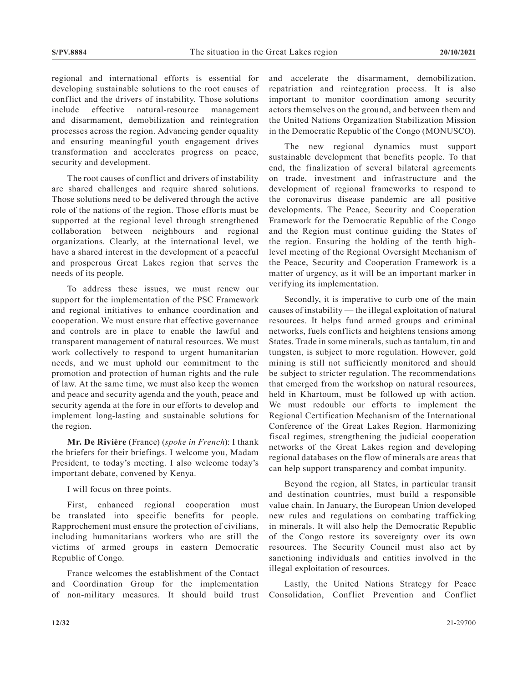regional and international efforts is essential for developing sustainable solutions to the root causes of conflict and the drivers of instability. Those solutions include effective natural-resource management and disarmament, demobilization and reintegration processes across the region. Advancing gender equality and ensuring meaningful youth engagement drives transformation and accelerates progress on peace, security and development.

The root causes of conflict and drivers of instability are shared challenges and require shared solutions. Those solutions need to be delivered through the active role of the nations of the region. Those efforts must be supported at the regional level through strengthened collaboration between neighbours and regional organizations. Clearly, at the international level, we have a shared interest in the development of a peaceful and prosperous Great Lakes region that serves the needs of its people.

To address these issues, we must renew our support for the implementation of the PSC Framework and regional initiatives to enhance coordination and cooperation. We must ensure that effective governance and controls are in place to enable the lawful and transparent management of natural resources. We must work collectively to respond to urgent humanitarian needs, and we must uphold our commitment to the promotion and protection of human rights and the rule of law. At the same time, we must also keep the women and peace and security agenda and the youth, peace and security agenda at the fore in our efforts to develop and implement long-lasting and sustainable solutions for the region.

**Mr. De Rivière** (France) (*spoke in French*): I thank the briefers for their briefings. I welcome you, Madam President, to today's meeting. I also welcome today's important debate, convened by Kenya.

I will focus on three points.

First, enhanced regional cooperation must be translated into specific benefits for people. Rapprochement must ensure the protection of civilians, including humanitarians workers who are still the victims of armed groups in eastern Democratic Republic of Congo.

France welcomes the establishment of the Contact and Coordination Group for the implementation of non-military measures. It should build trust and accelerate the disarmament, demobilization, repatriation and reintegration process. It is also important to monitor coordination among security actors themselves on the ground, and between them and the United Nations Organization Stabilization Mission in the Democratic Republic of the Congo (MONUSCO).

The new regional dynamics must support sustainable development that benefits people. To that end, the finalization of several bilateral agreements on trade, investment and infrastructure and the development of regional frameworks to respond to the coronavirus disease pandemic are all positive developments. The Peace, Security and Cooperation Framework for the Democratic Republic of the Congo and the Region must continue guiding the States of the region. Ensuring the holding of the tenth highlevel meeting of the Regional Oversight Mechanism of the Peace, Security and Cooperation Framework is a matter of urgency, as it will be an important marker in verifying its implementation.

Secondly, it is imperative to curb one of the main causes of instability — the illegal exploitation of natural resources. It helps fund armed groups and criminal networks, fuels conflicts and heightens tensions among States. Trade in some minerals, such as tantalum, tin and tungsten, is subject to more regulation. However, gold mining is still not sufficiently monitored and should be subject to stricter regulation. The recommendations that emerged from the workshop on natural resources, held in Khartoum, must be followed up with action. We must redouble our efforts to implement the Regional Certification Mechanism of the International Conference of the Great Lakes Region. Harmonizing fiscal regimes, strengthening the judicial cooperation networks of the Great Lakes region and developing regional databases on the flow of minerals are areas that can help support transparency and combat impunity.

Beyond the region, all States, in particular transit and destination countries, must build a responsible value chain. In January, the European Union developed new rules and regulations on combating trafficking in minerals. It will also help the Democratic Republic of the Congo restore its sovereignty over its own resources. The Security Council must also act by sanctioning individuals and entities involved in the illegal exploitation of resources.

Lastly, the United Nations Strategy for Peace Consolidation, Conflict Prevention and Conflict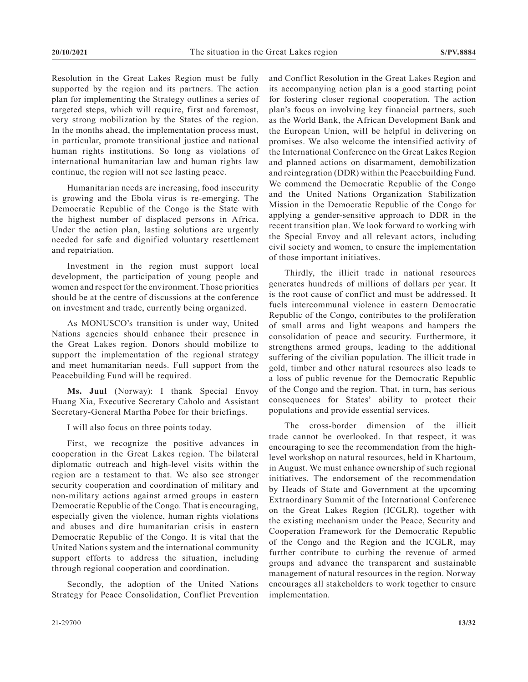Resolution in the Great Lakes Region must be fully supported by the region and its partners. The action plan for implementing the Strategy outlines a series of targeted steps, which will require, first and foremost, very strong mobilization by the States of the region. In the months ahead, the implementation process must, in particular, promote transitional justice and national human rights institutions. So long as violations of international humanitarian law and human rights law continue, the region will not see lasting peace.

Humanitarian needs are increasing, food insecurity is growing and the Ebola virus is re-emerging. The Democratic Republic of the Congo is the State with the highest number of displaced persons in Africa. Under the action plan, lasting solutions are urgently needed for safe and dignified voluntary resettlement and repatriation.

Investment in the region must support local development, the participation of young people and women and respect for the environment. Those priorities should be at the centre of discussions at the conference on investment and trade, currently being organized.

As MONUSCO's transition is under way, United Nations agencies should enhance their presence in the Great Lakes region. Donors should mobilize to support the implementation of the regional strategy and meet humanitarian needs. Full support from the Peacebuilding Fund will be required.

**Ms. Juul** (Norway): I thank Special Envoy Huang Xia, Executive Secretary Caholo and Assistant Secretary-General Martha Pobee for their briefings.

I will also focus on three points today.

First, we recognize the positive advances in cooperation in the Great Lakes region. The bilateral diplomatic outreach and high-level visits within the region are a testament to that. We also see stronger security cooperation and coordination of military and non-military actions against armed groups in eastern Democratic Republic of the Congo. That is encouraging, especially given the violence, human rights violations and abuses and dire humanitarian crisis in eastern Democratic Republic of the Congo. It is vital that the United Nations system and the international community support efforts to address the situation, including through regional cooperation and coordination.

Secondly, the adoption of the United Nations Strategy for Peace Consolidation, Conflict Prevention and Conflict Resolution in the Great Lakes Region and its accompanying action plan is a good starting point for fostering closer regional cooperation. The action plan's focus on involving key financial partners, such as the World Bank, the African Development Bank and the European Union, will be helpful in delivering on promises. We also welcome the intensified activity of the International Conference on the Great Lakes Region and planned actions on disarmament, demobilization and reintegration (DDR) within the Peacebuilding Fund. We commend the Democratic Republic of the Congo and the United Nations Organization Stabilization Mission in the Democratic Republic of the Congo for applying a gender-sensitive approach to DDR in the recent transition plan. We look forward to working with the Special Envoy and all relevant actors, including civil society and women, to ensure the implementation of those important initiatives.

Thirdly, the illicit trade in national resources generates hundreds of millions of dollars per year. It is the root cause of conflict and must be addressed. It fuels intercommunal violence in eastern Democratic Republic of the Congo, contributes to the proliferation of small arms and light weapons and hampers the consolidation of peace and security. Furthermore, it strengthens armed groups, leading to the additional suffering of the civilian population. The illicit trade in gold, timber and other natural resources also leads to a loss of public revenue for the Democratic Republic of the Congo and the region. That, in turn, has serious consequences for States' ability to protect their populations and provide essential services.

The cross-border dimension of the illicit trade cannot be overlooked. In that respect, it was encouraging to see the recommendation from the highlevel workshop on natural resources, held in Khartoum, in August. We must enhance ownership of such regional initiatives. The endorsement of the recommendation by Heads of State and Government at the upcoming Extraordinary Summit of the International Conference on the Great Lakes Region (ICGLR), together with the existing mechanism under the Peace, Security and Cooperation Framework for the Democratic Republic of the Congo and the Region and the ICGLR, may further contribute to curbing the revenue of armed groups and advance the transparent and sustainable management of natural resources in the region. Norway encourages all stakeholders to work together to ensure implementation.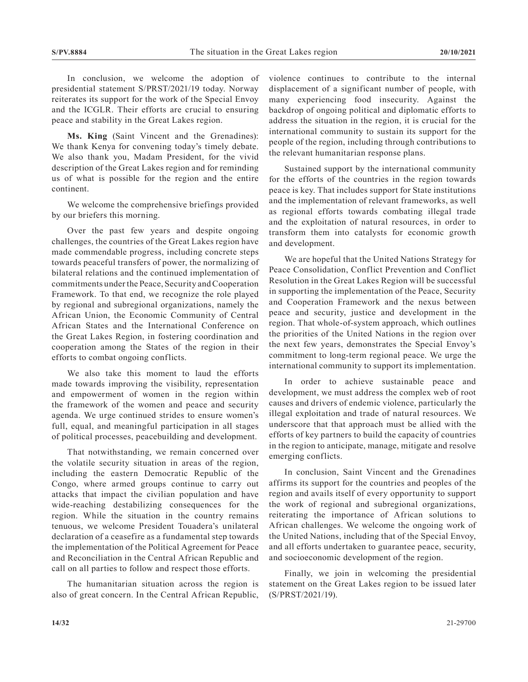In conclusion, we welcome the adoption of presidential statement S/PRST/2021/19 today. Norway reiterates its support for the work of the Special Envoy and the ICGLR. Their efforts are crucial to ensuring peace and stability in the Great Lakes region.

**Ms. King** (Saint Vincent and the Grenadines): We thank Kenya for convening today's timely debate. We also thank you, Madam President, for the vivid description of the Great Lakes region and for reminding us of what is possible for the region and the entire continent.

We welcome the comprehensive briefings provided by our briefers this morning.

Over the past few years and despite ongoing challenges, the countries of the Great Lakes region have made commendable progress, including concrete steps towards peaceful transfers of power, the normalizing of bilateral relations and the continued implementation of commitments under the Peace, Security and Cooperation Framework. To that end, we recognize the role played by regional and subregional organizations, namely the African Union, the Economic Community of Central African States and the International Conference on the Great Lakes Region, in fostering coordination and cooperation among the States of the region in their efforts to combat ongoing conflicts.

We also take this moment to laud the efforts made towards improving the visibility, representation and empowerment of women in the region within the framework of the women and peace and security agenda. We urge continued strides to ensure women's full, equal, and meaningful participation in all stages of political processes, peacebuilding and development.

That notwithstanding, we remain concerned over the volatile security situation in areas of the region, including the eastern Democratic Republic of the Congo, where armed groups continue to carry out attacks that impact the civilian population and have wide-reaching destabilizing consequences for the region. While the situation in the country remains tenuous, we welcome President Touadera's unilateral declaration of a ceasefire as a fundamental step towards the implementation of the Political Agreement for Peace and Reconciliation in the Central African Republic and call on all parties to follow and respect those efforts.

The humanitarian situation across the region is also of great concern. In the Central African Republic, violence continues to contribute to the internal displacement of a significant number of people, with many experiencing food insecurity. Against the backdrop of ongoing political and diplomatic efforts to address the situation in the region, it is crucial for the international community to sustain its support for the people of the region, including through contributions to the relevant humanitarian response plans.

Sustained support by the international community for the efforts of the countries in the region towards peace is key. That includes support for State institutions and the implementation of relevant frameworks, as well as regional efforts towards combating illegal trade and the exploitation of natural resources, in order to transform them into catalysts for economic growth and development.

We are hopeful that the United Nations Strategy for Peace Consolidation, Conflict Prevention and Conflict Resolution in the Great Lakes Region will be successful in supporting the implementation of the Peace, Security and Cooperation Framework and the nexus between peace and security, justice and development in the region. That whole-of-system approach, which outlines the priorities of the United Nations in the region over the next few years, demonstrates the Special Envoy's commitment to long-term regional peace. We urge the international community to support its implementation.

In order to achieve sustainable peace and development, we must address the complex web of root causes and drivers of endemic violence, particularly the illegal exploitation and trade of natural resources. We underscore that that approach must be allied with the efforts of key partners to build the capacity of countries in the region to anticipate, manage, mitigate and resolve emerging conflicts.

In conclusion, Saint Vincent and the Grenadines affirms its support for the countries and peoples of the region and avails itself of every opportunity to support the work of regional and subregional organizations, reiterating the importance of African solutions to African challenges. We welcome the ongoing work of the United Nations, including that of the Special Envoy, and all efforts undertaken to guarantee peace, security, and socioeconomic development of the region.

Finally, we join in welcoming the presidential statement on the Great Lakes region to be issued later (S/PRST/2021/19).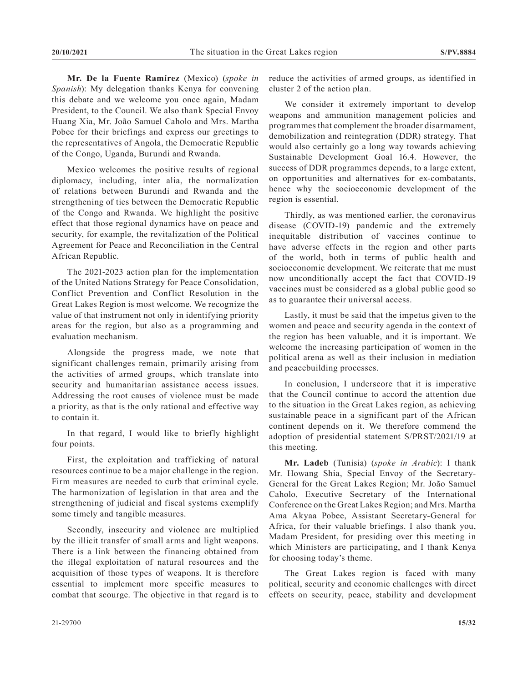**Mr. De la Fuente Ramírez** (Mexico) (*spoke in Spanish*): My delegation thanks Kenya for convening this debate and we welcome you once again, Madam President, to the Council. We also thank Special Envoy Huang Xia, Mr. João Samuel Caholo and Mrs. Martha Pobee for their briefings and express our greetings to the representatives of Angola, the Democratic Republic of the Congo, Uganda, Burundi and Rwanda.

Mexico welcomes the positive results of regional diplomacy, including, inter alia, the normalization of relations between Burundi and Rwanda and the strengthening of ties between the Democratic Republic of the Congo and Rwanda. We highlight the positive effect that those regional dynamics have on peace and security, for example, the revitalization of the Political Agreement for Peace and Reconciliation in the Central African Republic.

The 2021-2023 action plan for the implementation of the United Nations Strategy for Peace Consolidation, Conflict Prevention and Conflict Resolution in the Great Lakes Region is most welcome. We recognize the value of that instrument not only in identifying priority areas for the region, but also as a programming and evaluation mechanism.

Alongside the progress made, we note that significant challenges remain, primarily arising from the activities of armed groups, which translate into security and humanitarian assistance access issues. Addressing the root causes of violence must be made a priority, as that is the only rational and effective way to contain it.

In that regard, I would like to briefly highlight four points.

First, the exploitation and trafficking of natural resources continue to be a major challenge in the region. Firm measures are needed to curb that criminal cycle. The harmonization of legislation in that area and the strengthening of judicial and fiscal systems exemplify some timely and tangible measures.

Secondly, insecurity and violence are multiplied by the illicit transfer of small arms and light weapons. There is a link between the financing obtained from the illegal exploitation of natural resources and the acquisition of those types of weapons. It is therefore essential to implement more specific measures to combat that scourge. The objective in that regard is to reduce the activities of armed groups, as identified in cluster 2 of the action plan.

We consider it extremely important to develop weapons and ammunition management policies and programmes that complement the broader disarmament, demobilization and reintegration (DDR) strategy. That would also certainly go a long way towards achieving Sustainable Development Goal 16.4. However, the success of DDR programmes depends, to a large extent, on opportunities and alternatives for ex-combatants, hence why the socioeconomic development of the region is essential.

Thirdly, as was mentioned earlier, the coronavirus disease (COVID-19) pandemic and the extremely inequitable distribution of vaccines continue to have adverse effects in the region and other parts of the world, both in terms of public health and socioeconomic development. We reiterate that me must now unconditionally accept the fact that COVID-19 vaccines must be considered as a global public good so as to guarantee their universal access.

Lastly, it must be said that the impetus given to the women and peace and security agenda in the context of the region has been valuable, and it is important. We welcome the increasing participation of women in the political arena as well as their inclusion in mediation and peacebuilding processes.

In conclusion, I underscore that it is imperative that the Council continue to accord the attention due to the situation in the Great Lakes region, as achieving sustainable peace in a significant part of the African continent depends on it. We therefore commend the adoption of presidential statement S/PRST/2021/19 at this meeting.

**Mr. Ladeb** (Tunisia) (*spoke in Arabic*): I thank Mr. Howang Shia, Special Envoy of the Secretary-General for the Great Lakes Region; Mr. João Samuel Caholo, Executive Secretary of the International Conference on the Great Lakes Region; and Mrs. Martha Ama Akyaa Pobee, Assistant Secretary-General for Africa, for their valuable briefings. I also thank you, Madam President, for presiding over this meeting in which Ministers are participating, and I thank Kenya for choosing today's theme.

The Great Lakes region is faced with many political, security and economic challenges with direct effects on security, peace, stability and development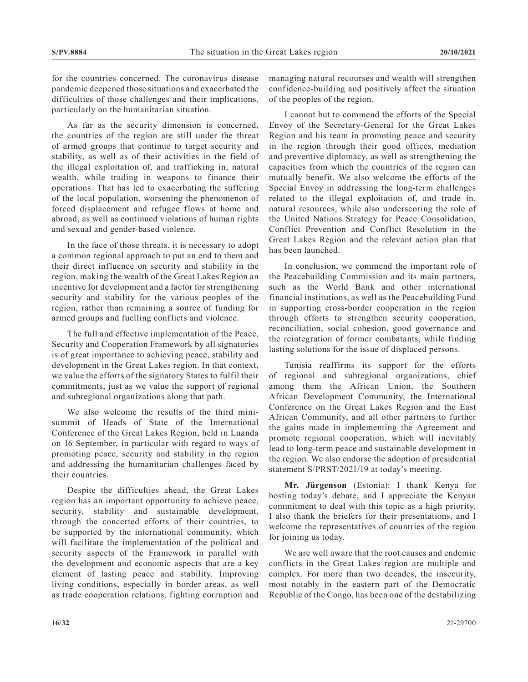for the countries concerned. The coronavirus disease pandemic deepened those situations and exacerbated the difficulties of those challenges and their implications, particularly on the humanitarian situation.

As far as the security dimension is concerned, the countries of the region are still under the threat of armed groups that continue to target security and stability, as well as of their activities in the field of the illegal exploitation of, and trafficking in, natural wealth, while trading in weapons to finance their operations. That has led to exacerbating the suffering of the local population, worsening the phenomenon of forced displacement and refugee flows at home and abroad, as well as continued violations of human rights and sexual and gender-based violence.

In the face of those threats, it is necessary to adopt a common regional approach to put an end to them and their direct influence on security and stability in the region, making the wealth of the Great Lakes Region an incentive for development and a factor for strengthening security and stability for the various peoples of the region, rather than remaining a source of funding for armed groups and fuelling conflicts and violence.

The full and effective implementation of the Peace, Security and Cooperation Framework by all signatories is of great importance to achieving peace, stability and development in the Great Lakes region. In that context, we value the efforts of the signatory States to fulfil their commitments, just as we value the support of regional and subregional organizations along that path.

We also welcome the results of the third minisummit of Heads of State of the International Conference of the Great Lakes Region, held in Luanda on 16 September, in particular with regard to ways of promoting peace, security and stability in the region and addressing the humanitarian challenges faced by their countries.

Despite the difficulties ahead, the Great Lakes region has an important opportunity to achieve peace, security, stability and sustainable development, through the concerted efforts of their countries, to be supported by the international community, which will facilitate the implementation of the political and security aspects of the Framework in parallel with the development and economic aspects that are a key element of lasting peace and stability. Improving living conditions, especially in border areas, as well as trade cooperation relations, fighting corruption and

managing natural recourses and wealth will strengthen confidence-building and positively affect the situation of the peoples of the region.

I cannot but to commend the efforts of the Special Envoy of the Secretary-General for the Great Lakes Region and his team in promoting peace and security in the region through their good offices, mediation and preventive diplomacy, as well as strengthening the capacities from which the countries of the region can mutually benefit. We also welcome the efforts of the Special Envoy in addressing the long-term challenges related to the illegal exploitation of, and trade in, natural resources, while also underscoring the role of the United Nations Strategy for Peace Consolidation, Conflict Prevention and Conflict Resolution in the Great Lakes Region and the relevant action plan that has been launched.

In conclusion, we commend the important role of the Peacebuilding Commission and its main partners, such as the World Bank and other international financial institutions, as well as the Peacebuilding Fund in supporting cross-border cooperation in the region through efforts to strengthen security cooperation, reconciliation, social cohesion, good governance and the reintegration of former combatants, while finding lasting solutions for the issue of displaced persons.

Tunisia reaffirms its support for the efforts of regional and subregional organizations, chief among them the African Union, the Southern African Development Community, the International Conference on the Great Lakes Region and the East African Community, and all other partners to further the gains made in implementing the Agreement and promote regional cooperation, which will inevitably lead to long-term peace and sustainable development in the region. We also endorse the adoption of presidential statement S/PRST/2021/19 at today's meeting.

**Mr. Jürgenson** (Estonia): I thank Kenya for hosting today's debate, and I appreciate the Kenyan commitment to deal with this topic as a high priority. I also thank the briefers for their presentations, and I welcome the representatives of countries of the region for joining us today.

We are well aware that the root causes and endemic conflicts in the Great Lakes region are multiple and complex. For more than two decades, the insecurity, most notably in the eastern part of the Democratic Republic of the Congo, has been one of the destabilizing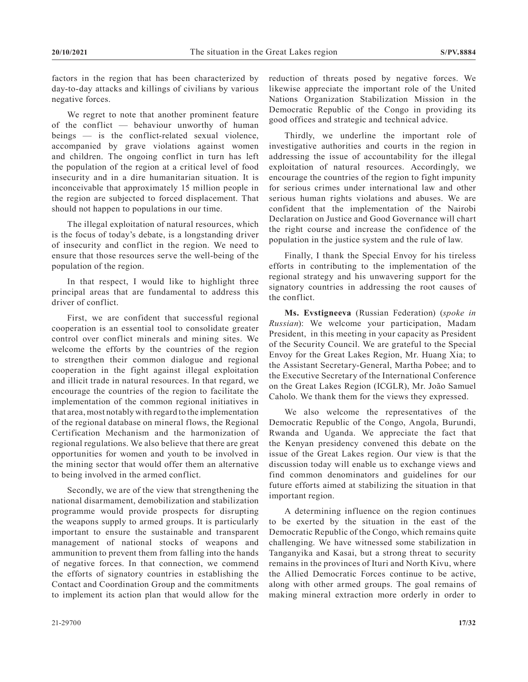factors in the region that has been characterized by day-to-day attacks and killings of civilians by various negative forces.

We regret to note that another prominent feature of the conflict — behaviour unworthy of human beings — is the conflict-related sexual violence, accompanied by grave violations against women and children. The ongoing conflict in turn has left the population of the region at a critical level of food insecurity and in a dire humanitarian situation. It is inconceivable that approximately 15 million people in the region are subjected to forced displacement. That should not happen to populations in our time.

The illegal exploitation of natural resources, which is the focus of today's debate, is a longstanding driver of insecurity and conflict in the region. We need to ensure that those resources serve the well-being of the population of the region.

In that respect, I would like to highlight three principal areas that are fundamental to address this driver of conflict.

First, we are confident that successful regional cooperation is an essential tool to consolidate greater control over conflict minerals and mining sites. We welcome the efforts by the countries of the region to strengthen their common dialogue and regional cooperation in the fight against illegal exploitation and illicit trade in natural resources. In that regard, we encourage the countries of the region to facilitate the implementation of the common regional initiatives in that area, most notably with regard to the implementation of the regional database on mineral flows, the Regional Certification Mechanism and the harmonization of regional regulations. We also believe that there are great opportunities for women and youth to be involved in the mining sector that would offer them an alternative to being involved in the armed conflict.

Secondly, we are of the view that strengthening the national disarmament, demobilization and stabilization programme would provide prospects for disrupting the weapons supply to armed groups. It is particularly important to ensure the sustainable and transparent management of national stocks of weapons and ammunition to prevent them from falling into the hands of negative forces. In that connection, we commend the efforts of signatory countries in establishing the Contact and Coordination Group and the commitments to implement its action plan that would allow for the

reduction of threats posed by negative forces. We likewise appreciate the important role of the United Nations Organization Stabilization Mission in the Democratic Republic of the Congo in providing its good offices and strategic and technical advice.

Thirdly, we underline the important role of investigative authorities and courts in the region in addressing the issue of accountability for the illegal exploitation of natural resources. Accordingly, we encourage the countries of the region to fight impunity for serious crimes under international law and other serious human rights violations and abuses. We are confident that the implementation of the Nairobi Declaration on Justice and Good Governance will chart the right course and increase the confidence of the population in the justice system and the rule of law.

Finally, I thank the Special Envoy for his tireless efforts in contributing to the implementation of the regional strategy and his unwavering support for the signatory countries in addressing the root causes of the conflict.

**Ms. Evstigneeva** (Russian Federation) (*spoke in Russian*): We welcome your participation, Madam President, in this meeting in your capacity as President of the Security Council. We are grateful to the Special Envoy for the Great Lakes Region, Mr. Huang Xia; to the Assistant Secretary-General, Martha Pobee; and to the Executive Secretary of the International Conference on the Great Lakes Region (ICGLR), Mr. João Samuel Caholo. We thank them for the views they expressed.

We also welcome the representatives of the Democratic Republic of the Congo, Angola, Burundi, Rwanda and Uganda. We appreciate the fact that the Kenyan presidency convened this debate on the issue of the Great Lakes region. Our view is that the discussion today will enable us to exchange views and find common denominators and guidelines for our future efforts aimed at stabilizing the situation in that important region.

A determining influence on the region continues to be exerted by the situation in the east of the Democratic Republic of the Congo, which remains quite challenging. We have witnessed some stabilization in Tanganyika and Kasai, but a strong threat to security remains in the provinces of Ituri and North Kivu, where the Allied Democratic Forces continue to be active, along with other armed groups. The goal remains of making mineral extraction more orderly in order to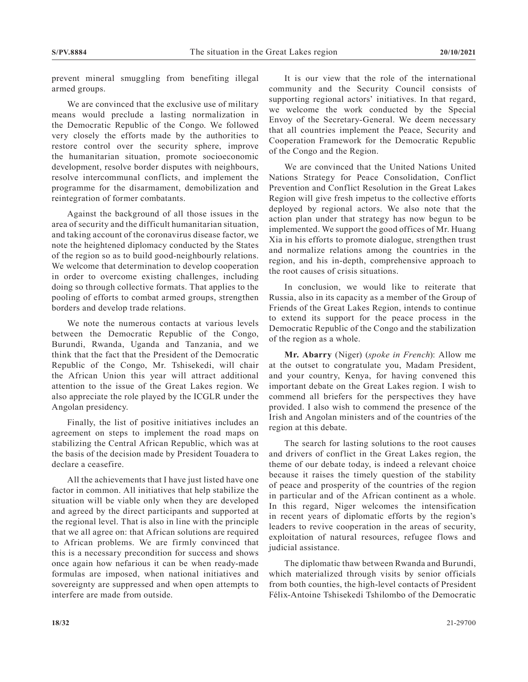prevent mineral smuggling from benefiting illegal armed groups.

We are convinced that the exclusive use of military means would preclude a lasting normalization in the Democratic Republic of the Congo. We followed very closely the efforts made by the authorities to restore control over the security sphere, improve the humanitarian situation, promote socioeconomic development, resolve border disputes with neighbours, resolve intercommunal conflicts, and implement the programme for the disarmament, demobilization and reintegration of former combatants.

Against the background of all those issues in the area of security and the difficult humanitarian situation, and taking account of the coronavirus disease factor, we note the heightened diplomacy conducted by the States of the region so as to build good-neighbourly relations. We welcome that determination to develop cooperation in order to overcome existing challenges, including doing so through collective formats. That applies to the pooling of efforts to combat armed groups, strengthen borders and develop trade relations.

We note the numerous contacts at various levels between the Democratic Republic of the Congo, Burundi, Rwanda, Uganda and Tanzania, and we think that the fact that the President of the Democratic Republic of the Congo, Mr. Tshisekedi, will chair the African Union this year will attract additional attention to the issue of the Great Lakes region. We also appreciate the role played by the ICGLR under the Angolan presidency.

Finally, the list of positive initiatives includes an agreement on steps to implement the road maps on stabilizing the Central African Republic, which was at the basis of the decision made by President Touadera to declare a ceasefire.

All the achievements that I have just listed have one factor in common. All initiatives that help stabilize the situation will be viable only when they are developed and agreed by the direct participants and supported at the regional level. That is also in line with the principle that we all agree on: that African solutions are required to African problems. We are firmly convinced that this is a necessary precondition for success and shows once again how nefarious it can be when ready-made formulas are imposed, when national initiatives and sovereignty are suppressed and when open attempts to interfere are made from outside.

It is our view that the role of the international community and the Security Council consists of supporting regional actors' initiatives. In that regard, we welcome the work conducted by the Special Envoy of the Secretary-General. We deem necessary that all countries implement the Peace, Security and Cooperation Framework for the Democratic Republic of the Congo and the Region.

We are convinced that the United Nations United Nations Strategy for Peace Consolidation, Conflict Prevention and Conflict Resolution in the Great Lakes Region will give fresh impetus to the collective efforts deployed by regional actors. We also note that the action plan under that strategy has now begun to be implemented. We support the good offices of Mr. Huang Xia in his efforts to promote dialogue, strengthen trust and normalize relations among the countries in the region, and his in-depth, comprehensive approach to the root causes of crisis situations.

In conclusion, we would like to reiterate that Russia, also in its capacity as a member of the Group of Friends of the Great Lakes Region, intends to continue to extend its support for the peace process in the Democratic Republic of the Congo and the stabilization of the region as a whole.

**Mr. Abarry** (Niger) (*spoke in French*): Allow me at the outset to congratulate you, Madam President, and your country, Kenya, for having convened this important debate on the Great Lakes region. I wish to commend all briefers for the perspectives they have provided. I also wish to commend the presence of the Irish and Angolan ministers and of the countries of the region at this debate.

The search for lasting solutions to the root causes and drivers of conflict in the Great Lakes region, the theme of our debate today, is indeed a relevant choice because it raises the timely question of the stability of peace and prosperity of the countries of the region in particular and of the African continent as a whole. In this regard, Niger welcomes the intensification in recent years of diplomatic efforts by the region's leaders to revive cooperation in the areas of security, exploitation of natural resources, refugee flows and judicial assistance.

The diplomatic thaw between Rwanda and Burundi, which materialized through visits by senior officials from both counties, the high-level contacts of President Félix-Antoine Tshisekedi Tshilombo of the Democratic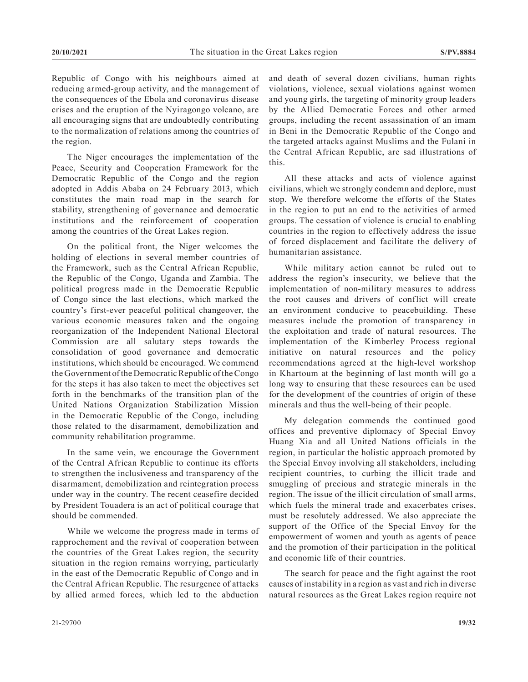Republic of Congo with his neighbours aimed at reducing armed-group activity, and the management of the consequences of the Ebola and coronavirus disease crises and the eruption of the Nyiragongo volcano, are all encouraging signs that are undoubtedly contributing to the normalization of relations among the countries of the region.

The Niger encourages the implementation of the Peace, Security and Cooperation Framework for the Democratic Republic of the Congo and the region adopted in Addis Ababa on 24 February 2013, which constitutes the main road map in the search for stability, strengthening of governance and democratic institutions and the reinforcement of cooperation among the countries of the Great Lakes region.

On the political front, the Niger welcomes the holding of elections in several member countries of the Framework, such as the Central African Republic, the Republic of the Congo, Uganda and Zambia. The political progress made in the Democratic Republic of Congo since the last elections, which marked the country's first-ever peaceful political changeover, the various economic measures taken and the ongoing reorganization of the Independent National Electoral Commission are all salutary steps towards the consolidation of good governance and democratic institutions, which should be encouraged. We commend the Government of the Democratic Republic of the Congo for the steps it has also taken to meet the objectives set forth in the benchmarks of the transition plan of the United Nations Organization Stabilization Mission in the Democratic Republic of the Congo, including those related to the disarmament, demobilization and community rehabilitation programme.

In the same vein, we encourage the Government of the Central African Republic to continue its efforts to strengthen the inclusiveness and transparency of the disarmament, demobilization and reintegration process under way in the country. The recent ceasefire decided by President Touadera is an act of political courage that should be commended.

While we welcome the progress made in terms of rapprochement and the revival of cooperation between the countries of the Great Lakes region, the security situation in the region remains worrying, particularly in the east of the Democratic Republic of Congo and in the Central African Republic. The resurgence of attacks by allied armed forces, which led to the abduction

and death of several dozen civilians, human rights violations, violence, sexual violations against women and young girls, the targeting of minority group leaders by the Allied Democratic Forces and other armed groups, including the recent assassination of an imam in Beni in the Democratic Republic of the Congo and the targeted attacks against Muslims and the Fulani in the Central African Republic, are sad illustrations of this.

All these attacks and acts of violence against civilians, which we strongly condemn and deplore, must stop. We therefore welcome the efforts of the States in the region to put an end to the activities of armed groups. The cessation of violence is crucial to enabling countries in the region to effectively address the issue of forced displacement and facilitate the delivery of humanitarian assistance.

While military action cannot be ruled out to address the region's insecurity, we believe that the implementation of non-military measures to address the root causes and drivers of conflict will create an environment conducive to peacebuilding. These measures include the promotion of transparency in the exploitation and trade of natural resources. The implementation of the Kimberley Process regional initiative on natural resources and the policy recommendations agreed at the high-level workshop in Khartoum at the beginning of last month will go a long way to ensuring that these resources can be used for the development of the countries of origin of these minerals and thus the well-being of their people.

My delegation commends the continued good offices and preventive diplomacy of Special Envoy Huang Xia and all United Nations officials in the region, in particular the holistic approach promoted by the Special Envoy involving all stakeholders, including recipient countries, to curbing the illicit trade and smuggling of precious and strategic minerals in the region. The issue of the illicit circulation of small arms, which fuels the mineral trade and exacerbates crises, must be resolutely addressed. We also appreciate the support of the Office of the Special Envoy for the empowerment of women and youth as agents of peace and the promotion of their participation in the political and economic life of their countries.

The search for peace and the fight against the root causes of instability in a region as vast and rich in diverse natural resources as the Great Lakes region require not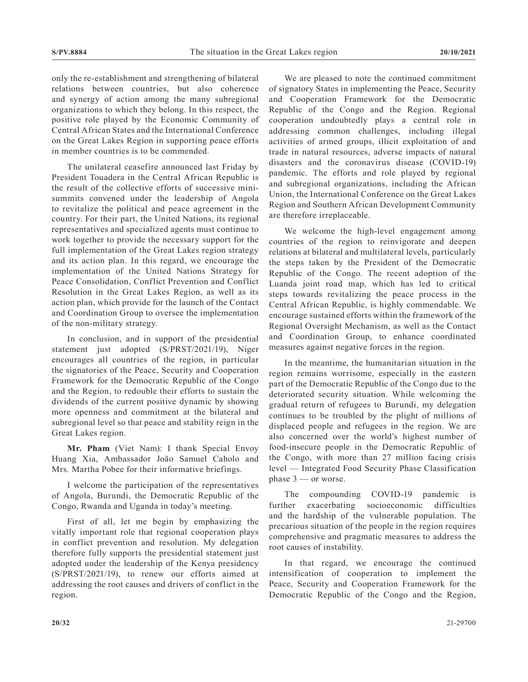only the re-establishment and strengthening of bilateral relations between countries, but also coherence and synergy of action among the many subregional organizations to which they belong. In this respect, the positive role played by the Economic Community of Central African States and the International Conference on the Great Lakes Region in supporting peace efforts in member countries is to be commended.

The unilateral ceasefire announced last Friday by President Touadera in the Central African Republic is the result of the collective efforts of successive minisummits convened under the leadership of Angola to revitalize the political and peace agreement in the country. For their part, the United Nations, its regional representatives and specialized agents must continue to work together to provide the necessary support for the full implementation of the Great Lakes region strategy and its action plan. In this regard, we encourage the implementation of the United Nations Strategy for Peace Consolidation, Conflict Prevention and Conflict Resolution in the Great Lakes Region, as well as its action plan, which provide for the launch of the Contact and Coordination Group to oversee the implementation of the non-military strategy.

In conclusion, and in support of the presidential statement just adopted (S/PRST/2021/19), Niger encourages all countries of the region, in particular the signatories of the Peace, Security and Cooperation Framework for the Democratic Republic of the Congo and the Region, to redouble their efforts to sustain the dividends of the current positive dynamic by showing more openness and commitment at the bilateral and subregional level so that peace and stability reign in the Great Lakes region.

**Mr. Pham** (Viet Nam): I thank Special Envoy Huang Xia, Ambassador João Samuel Caholo and Mrs. Martha Pobee for their informative briefings.

I welcome the participation of the representatives of Angola, Burundi, the Democratic Republic of the Congo, Rwanda and Uganda in today's meeting.

First of all, let me begin by emphasizing the vitally important role that regional cooperation plays in conflict prevention and resolution. My delegation therefore fully supports the presidential statement just adopted under the leadership of the Kenya presidency (S/PRST/2021/19), to renew our efforts aimed at addressing the root causes and drivers of conflict in the region.

We are pleased to note the continued commitment of signatory States in implementing the Peace, Security and Cooperation Framework for the Democratic Republic of the Congo and the Region. Regional cooperation undoubtedly plays a central role in addressing common challenges, including illegal activities of armed groups, illicit exploitation of and trade in natural resources, adverse impacts of natural disasters and the coronavirus disease (COVID-19) pandemic. The efforts and role played by regional and subregional organizations, including the African Union, the International Conference on the Great Lakes Region and Southern African Development Community are therefore irreplaceable.

We welcome the high-level engagement among countries of the region to reinvigorate and deepen relations at bilateral and multilateral levels, particularly the steps taken by the President of the Democratic Republic of the Congo. The recent adoption of the Luanda joint road map, which has led to critical steps towards revitalizing the peace process in the Central African Republic, is highly commendable. We encourage sustained efforts within the framework of the Regional Oversight Mechanism, as well as the Contact and Coordination Group, to enhance coordinated measures against negative forces in the region.

In the meantime, the humanitarian situation in the region remains worrisome, especially in the eastern part of the Democratic Republic of the Congo due to the deteriorated security situation. While welcoming the gradual return of refugees to Burundi, my delegation continues to be troubled by the plight of millions of displaced people and refugees in the region. We are also concerned over the world's highest number of food-insecure people in the Democratic Republic of the Congo, with more than 27 million facing crisis level — Integrated Food Security Phase Classification phase 3 — or worse.

The compounding COVID-19 pandemic is further exacerbating socioeconomic difficulties and the hardship of the vulnerable population. The precarious situation of the people in the region requires comprehensive and pragmatic measures to address the root causes of instability.

In that regard, we encourage the continued intensification of cooperation to implement the Peace, Security and Cooperation Framework for the Democratic Republic of the Congo and the Region,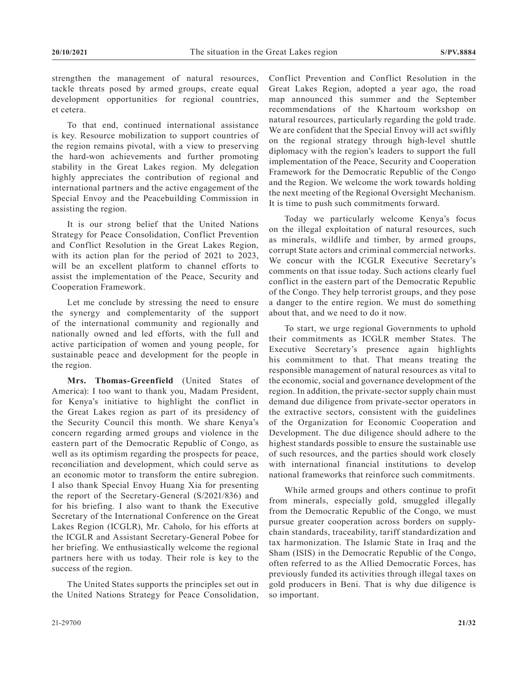strengthen the management of natural resources, tackle threats posed by armed groups, create equal development opportunities for regional countries, et cetera.

To that end, continued international assistance is key. Resource mobilization to support countries of the region remains pivotal, with a view to preserving the hard-won achievements and further promoting stability in the Great Lakes region. My delegation highly appreciates the contribution of regional and international partners and the active engagement of the Special Envoy and the Peacebuilding Commission in assisting the region.

It is our strong belief that the United Nations Strategy for Peace Consolidation, Conflict Prevention and Conflict Resolution in the Great Lakes Region, with its action plan for the period of 2021 to 2023, will be an excellent platform to channel efforts to assist the implementation of the Peace, Security and Cooperation Framework.

Let me conclude by stressing the need to ensure the synergy and complementarity of the support of the international community and regionally and nationally owned and led efforts, with the full and active participation of women and young people, for sustainable peace and development for the people in the region.

**Mrs. Thomas-Greenfield** (United States of America): I too want to thank you, Madam President, for Kenya's initiative to highlight the conflict in the Great Lakes region as part of its presidency of the Security Council this month. We share Kenya's concern regarding armed groups and violence in the eastern part of the Democratic Republic of Congo, as well as its optimism regarding the prospects for peace, reconciliation and development, which could serve as an economic motor to transform the entire subregion. I also thank Special Envoy Huang Xia for presenting the report of the Secretary-General (S/2021/836) and for his briefing. I also want to thank the Executive Secretary of the International Conference on the Great Lakes Region (ICGLR), Mr. Caholo, for his efforts at the ICGLR and Assistant Secretary-General Pobee for her briefing. We enthusiastically welcome the regional partners here with us today. Their role is key to the success of the region.

The United States supports the principles set out in the United Nations Strategy for Peace Consolidation, Conflict Prevention and Conflict Resolution in the Great Lakes Region, adopted a year ago, the road map announced this summer and the September recommendations of the Khartoum workshop on natural resources, particularly regarding the gold trade. We are confident that the Special Envoy will act swiftly on the regional strategy through high-level shuttle diplomacy with the region's leaders to support the full implementation of the Peace, Security and Cooperation Framework for the Democratic Republic of the Congo and the Region. We welcome the work towards holding the next meeting of the Regional Oversight Mechanism. It is time to push such commitments forward.

Today we particularly welcome Kenya's focus on the illegal exploitation of natural resources, such as minerals, wildlife and timber, by armed groups, corrupt State actors and criminal commercial networks. We concur with the ICGLR Executive Secretary's comments on that issue today. Such actions clearly fuel conflict in the eastern part of the Democratic Republic of the Congo. They help terrorist groups, and they pose a danger to the entire region. We must do something about that, and we need to do it now.

To start, we urge regional Governments to uphold their commitments as ICGLR member States. The Executive Secretary's presence again highlights his commitment to that. That means treating the responsible management of natural resources as vital to the economic, social and governance development of the region. In addition, the private-sector supply chain must demand due diligence from private-sector operators in the extractive sectors, consistent with the guidelines of the Organization for Economic Cooperation and Development. The due diligence should adhere to the highest standards possible to ensure the sustainable use of such resources, and the parties should work closely with international financial institutions to develop national frameworks that reinforce such commitments.

While armed groups and others continue to profit from minerals, especially gold, smuggled illegally from the Democratic Republic of the Congo, we must pursue greater cooperation across borders on supplychain standards, traceability, tariff standardization and tax harmonization. The Islamic State in Iraq and the Sham (ISIS) in the Democratic Republic of the Congo, often referred to as the Allied Democratic Forces, has previously funded its activities through illegal taxes on gold producers in Beni. That is why due diligence is so important.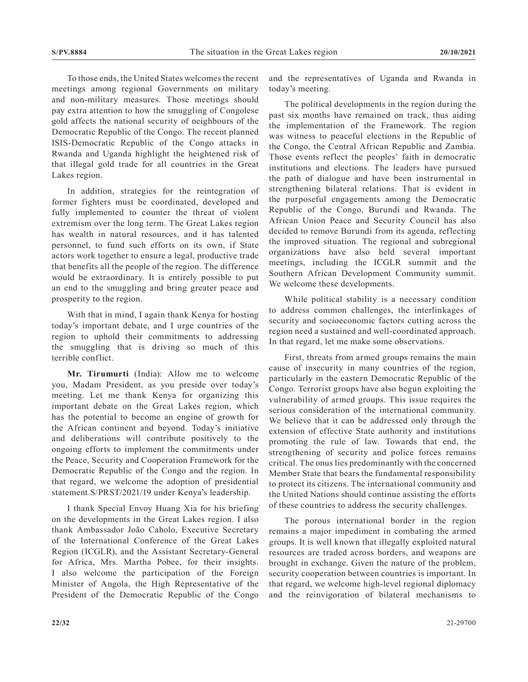To those ends, the United States welcomes the recent meetings among regional Governments on military and non-military measures. Those meetings should pay extra attention to how the smuggling of Congolese gold affects the national security of neighbours of the Democratic Republic of the Congo. The recent planned ISIS-Democratic Republic of the Congo attacks in Rwanda and Uganda highlight the heightened risk of that illegal gold trade for all countries in the Great Lakes region.

In addition, strategies for the reintegration of former fighters must be coordinated, developed and fully implemented to counter the threat of violent extremism over the long term. The Great Lakes region has wealth in natural resources, and it has talented personnel, to fund such efforts on its own, if State actors work together to ensure a legal, productive trade that benefits all the people of the region. The difference would be extraordinary. It is entirely possible to put an end to the smuggling and bring greater peace and prosperity to the region.

With that in mind, I again thank Kenya for hosting today's important debate, and I urge countries of the region to uphold their commitments to addressing the smuggling that is driving so much of this terrible conflict.

**Mr. Tirumurti** (India): Allow me to welcome you, Madam President, as you preside over today's meeting. Let me thank Kenya for organizing this important debate on the Great Lakes region, which has the potential to become an engine of growth for the African continent and beyond. Today's initiative and deliberations will contribute positively to the ongoing efforts to implement the commitments under the Peace, Security and Cooperation Framework for the Democratic Republic of the Congo and the region. In that regard, we welcome the adoption of presidential statement S/PRST/2021/19 under Kenya's leadership.

I thank Special Envoy Huang Xia for his briefing on the developments in the Great Lakes region. I also thank Ambassador João Caholo, Executive Secretary of the International Conference of the Great Lakes Region (ICGLR), and the Assistant Secretary-General for Africa, Mrs. Martha Pobee, for their insights. I also welcome the participation of the Foreign Minister of Angola, the High Representative of the President of the Democratic Republic of the Congo and the representatives of Uganda and Rwanda in today's meeting.

The political developments in the region during the past six months have remained on track, thus aiding the implementation of the Framework. The region was witness to peaceful elections in the Republic of the Congo, the Central African Republic and Zambia. Those events reflect the peoples' faith in democratic institutions and elections. The leaders have pursued the path of dialogue and have been instrumental in strengthening bilateral relations. That is evident in the purposeful engagements among the Democratic Republic of the Congo, Burundi and Rwanda. The African Union Peace and Security Council has also decided to remove Burundi from its agenda, reflecting the improved situation. The regional and subregional organizations have also held several important meetings, including the ICGLR summit and the Southern African Development Community summit. We welcome these developments.

While political stability is a necessary condition to address common challenges, the interlinkages of security and socioeconomic factors cutting across the region need a sustained and well-coordinated approach. In that regard, let me make some observations.

First, threats from armed groups remains the main cause of insecurity in many countries of the region, particularly in the eastern Democratic Republic of the Congo. Terrorist groups have also begun exploiting the vulnerability of armed groups. This issue requires the serious consideration of the international community. We believe that it can be addressed only through the extension of effective State authority and institutions promoting the rule of law. Towards that end, the strengthening of security and police forces remains critical. The onus lies predominantly with the concerned Member State that bears the fundamental responsibility to protect its citizens. The international community and the United Nations should continue assisting the efforts of these countries to address the security challenges.

The porous international border in the region remains a major impediment in combating the armed groups. It is well known that illegally exploited natural resources are traded across borders, and weapons are brought in exchange. Given the nature of the problem, security cooperation between countries is important. In that regard, we welcome high-level regional diplomacy and the reinvigoration of bilateral mechanisms to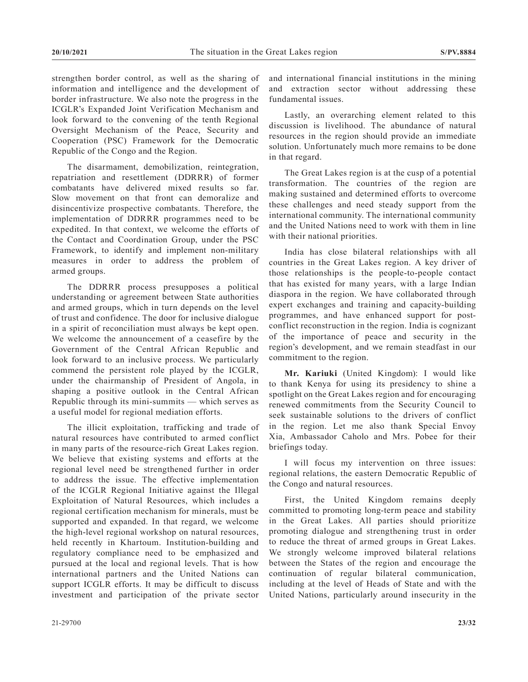strengthen border control, as well as the sharing of information and intelligence and the development of border infrastructure. We also note the progress in the ICGLR's Expanded Joint Verification Mechanism and look forward to the convening of the tenth Regional Oversight Mechanism of the Peace, Security and Cooperation (PSC) Framework for the Democratic Republic of the Congo and the Region.

The disarmament, demobilization, reintegration, repatriation and resettlement (DDRRR) of former combatants have delivered mixed results so far. Slow movement on that front can demoralize and disincentivize prospective combatants. Therefore, the implementation of DDRRR programmes need to be expedited. In that context, we welcome the efforts of the Contact and Coordination Group, under the PSC Framework, to identify and implement non-military measures in order to address the problem of armed groups.

The DDRRR process presupposes a political understanding or agreement between State authorities and armed groups, which in turn depends on the level of trust and confidence. The door for inclusive dialogue in a spirit of reconciliation must always be kept open. We welcome the announcement of a ceasefire by the Government of the Central African Republic and look forward to an inclusive process. We particularly commend the persistent role played by the ICGLR, under the chairmanship of President of Angola, in shaping a positive outlook in the Central African Republic through its mini-summits — which serves as a useful model for regional mediation efforts.

The illicit exploitation, trafficking and trade of natural resources have contributed to armed conflict in many parts of the resource-rich Great Lakes region. We believe that existing systems and efforts at the regional level need be strengthened further in order to address the issue. The effective implementation of the ICGLR Regional Initiative against the Illegal Exploitation of Natural Resources, which includes a regional certification mechanism for minerals, must be supported and expanded. In that regard, we welcome the high-level regional workshop on natural resources, held recently in Khartoum. Institution-building and regulatory compliance need to be emphasized and pursued at the local and regional levels. That is how international partners and the United Nations can support ICGLR efforts. It may be difficult to discuss investment and participation of the private sector

and international financial institutions in the mining and extraction sector without addressing these fundamental issues.

Lastly, an overarching element related to this discussion is livelihood. The abundance of natural resources in the region should provide an immediate solution. Unfortunately much more remains to be done in that regard.

The Great Lakes region is at the cusp of a potential transformation. The countries of the region are making sustained and determined efforts to overcome these challenges and need steady support from the international community. The international community and the United Nations need to work with them in line with their national priorities.

India has close bilateral relationships with all countries in the Great Lakes region. A key driver of those relationships is the people-to-people contact that has existed for many years, with a large Indian diaspora in the region. We have collaborated through expert exchanges and training and capacity-building programmes, and have enhanced support for postconflict reconstruction in the region. India is cognizant of the importance of peace and security in the region's development, and we remain steadfast in our commitment to the region.

**Mr. Kariuki** (United Kingdom): I would like to thank Kenya for using its presidency to shine a spotlight on the Great Lakes region and for encouraging renewed commitments from the Security Council to seek sustainable solutions to the drivers of conflict in the region. Let me also thank Special Envoy Xia, Ambassador Caholo and Mrs. Pobee for their briefings today.

I will focus my intervention on three issues: regional relations, the eastern Democratic Republic of the Congo and natural resources.

First, the United Kingdom remains deeply committed to promoting long-term peace and stability in the Great Lakes. All parties should prioritize promoting dialogue and strengthening trust in order to reduce the threat of armed groups in Great Lakes. We strongly welcome improved bilateral relations between the States of the region and encourage the continuation of regular bilateral communication, including at the level of Heads of State and with the United Nations, particularly around insecurity in the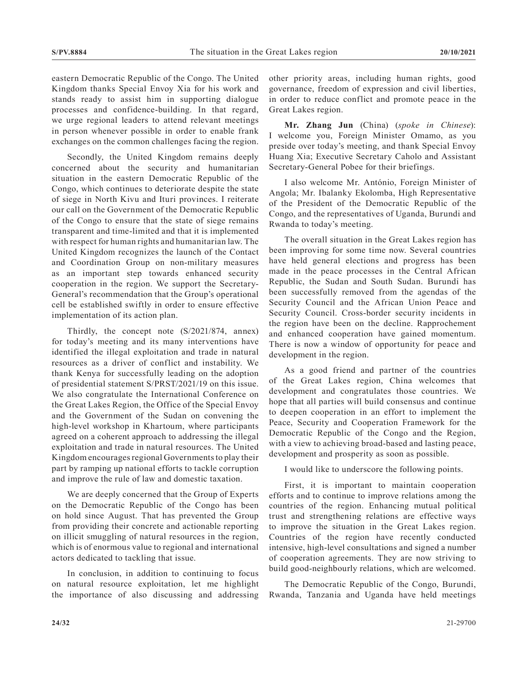eastern Democratic Republic of the Congo. The United Kingdom thanks Special Envoy Xia for his work and stands ready to assist him in supporting dialogue processes and confidence-building. In that regard, we urge regional leaders to attend relevant meetings in person whenever possible in order to enable frank exchanges on the common challenges facing the region.

Secondly, the United Kingdom remains deeply concerned about the security and humanitarian situation in the eastern Democratic Republic of the Congo, which continues to deteriorate despite the state of siege in North Kivu and Ituri provinces. I reiterate our call on the Government of the Democratic Republic of the Congo to ensure that the state of siege remains transparent and time-limited and that it is implemented with respect for human rights and humanitarian law. The United Kingdom recognizes the launch of the Contact and Coordination Group on non-military measures as an important step towards enhanced security cooperation in the region. We support the Secretary-General's recommendation that the Group's operational cell be established swiftly in order to ensure effective implementation of its action plan.

Thirdly, the concept note (S/2021/874, annex) for today's meeting and its many interventions have identified the illegal exploitation and trade in natural resources as a driver of conflict and instability. We thank Kenya for successfully leading on the adoption of presidential statement S/PRST/2021/19 on this issue. We also congratulate the International Conference on the Great Lakes Region, the Office of the Special Envoy and the Government of the Sudan on convening the high-level workshop in Khartoum, where participants agreed on a coherent approach to addressing the illegal exploitation and trade in natural resources. The United Kingdom encourages regional Governments to play their part by ramping up national efforts to tackle corruption and improve the rule of law and domestic taxation.

We are deeply concerned that the Group of Experts on the Democratic Republic of the Congo has been on hold since August. That has prevented the Group from providing their concrete and actionable reporting on illicit smuggling of natural resources in the region, which is of enormous value to regional and international actors dedicated to tackling that issue.

In conclusion, in addition to continuing to focus on natural resource exploitation, let me highlight the importance of also discussing and addressing other priority areas, including human rights, good governance, freedom of expression and civil liberties, in order to reduce conflict and promote peace in the Great Lakes region.

**Mr. Zhang Jun** (China) (*spoke in Chinese*): I welcome you, Foreign Minister Omamo, as you preside over today's meeting, and thank Special Envoy Huang Xia; Executive Secretary Caholo and Assistant Secretary-General Pobee for their briefings.

I also welcome Mr. António, Foreign Minister of Angola; Mr. Ibalanky Ekolomba, High Representative of the President of the Democratic Republic of the Congo, and the representatives of Uganda, Burundi and Rwanda to today's meeting.

The overall situation in the Great Lakes region has been improving for some time now. Several countries have held general elections and progress has been made in the peace processes in the Central African Republic, the Sudan and South Sudan. Burundi has been successfully removed from the agendas of the Security Council and the African Union Peace and Security Council. Cross-border security incidents in the region have been on the decline. Rapprochement and enhanced cooperation have gained momentum. There is now a window of opportunity for peace and development in the region.

As a good friend and partner of the countries of the Great Lakes region, China welcomes that development and congratulates those countries. We hope that all parties will build consensus and continue to deepen cooperation in an effort to implement the Peace, Security and Cooperation Framework for the Democratic Republic of the Congo and the Region, with a view to achieving broad-based and lasting peace, development and prosperity as soon as possible.

I would like to underscore the following points.

First, it is important to maintain cooperation efforts and to continue to improve relations among the countries of the region. Enhancing mutual political trust and strengthening relations are effective ways to improve the situation in the Great Lakes region. Countries of the region have recently conducted intensive, high-level consultations and signed a number of cooperation agreements. They are now striving to build good-neighbourly relations, which are welcomed.

The Democratic Republic of the Congo, Burundi, Rwanda, Tanzania and Uganda have held meetings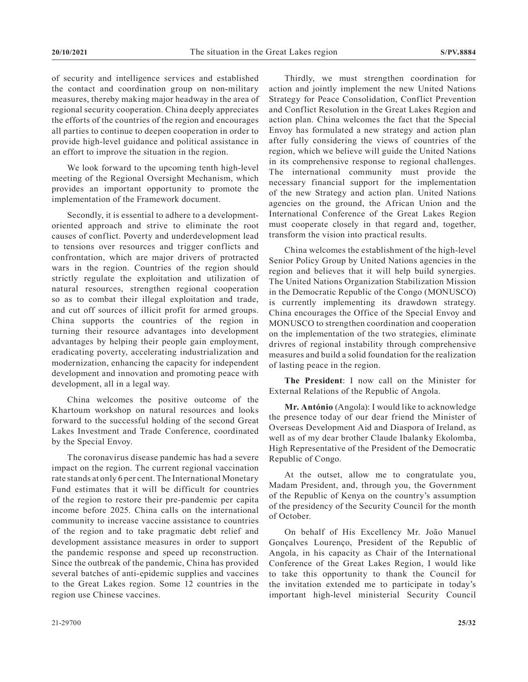of security and intelligence services and established the contact and coordination group on non-military measures, thereby making major headway in the area of regional security cooperation. China deeply appreciates the efforts of the countries of the region and encourages all parties to continue to deepen cooperation in order to provide high-level guidance and political assistance in an effort to improve the situation in the region.

We look forward to the upcoming tenth high-level meeting of the Regional Oversight Mechanism, which provides an important opportunity to promote the implementation of the Framework document.

Secondly, it is essential to adhere to a developmentoriented approach and strive to eliminate the root causes of conflict. Poverty and underdevelopment lead to tensions over resources and trigger conflicts and confrontation, which are major drivers of protracted wars in the region. Countries of the region should strictly regulate the exploitation and utilization of natural resources, strengthen regional cooperation so as to combat their illegal exploitation and trade, and cut off sources of illicit profit for armed groups. China supports the countries of the region in turning their resource advantages into development advantages by helping their people gain employment, eradicating poverty, accelerating industrialization and modernization, enhancing the capacity for independent development and innovation and promoting peace with development, all in a legal way.

China welcomes the positive outcome of the Khartoum workshop on natural resources and looks forward to the successful holding of the second Great Lakes Investment and Trade Conference, coordinated by the Special Envoy.

The coronavirus disease pandemic has had a severe impact on the region. The current regional vaccination rate stands at only 6 per cent. The International Monetary Fund estimates that it will be difficult for countries of the region to restore their pre-pandemic per capita income before 2025. China calls on the international community to increase vaccine assistance to countries of the region and to take pragmatic debt relief and development assistance measures in order to support the pandemic response and speed up reconstruction. Since the outbreak of the pandemic, China has provided several batches of anti-epidemic supplies and vaccines to the Great Lakes region. Some 12 countries in the region use Chinese vaccines.

Thirdly, we must strengthen coordination for action and jointly implement the new United Nations Strategy for Peace Consolidation, Conflict Prevention and Conflict Resolution in the Great Lakes Region and action plan. China welcomes the fact that the Special Envoy has formulated a new strategy and action plan after fully considering the views of countries of the region, which we believe will guide the United Nations in its comprehensive response to regional challenges. The international community must provide the necessary financial support for the implementation of the new Strategy and action plan. United Nations agencies on the ground, the African Union and the International Conference of the Great Lakes Region must cooperate closely in that regard and, together, transform the vision into practical results.

China welcomes the establishment of the high-level Senior Policy Group by United Nations agencies in the region and believes that it will help build synergies. The United Nations Organization Stabilization Mission in the Democratic Republic of the Congo (MONUSCO) is currently implementing its drawdown strategy. China encourages the Office of the Special Envoy and MONUSCO to strengthen coordination and cooperation on the implementation of the two strategies, eliminate drivres of regional instability through comprehensive measures and build a solid foundation for the realization of lasting peace in the region.

**The President**: I now call on the Minister for External Relations of the Republic of Angola.

**Mr. António** (Angola): I would like to acknowledge the presence today of our dear friend the Minister of Overseas Development Aid and Diaspora of Ireland, as well as of my dear brother Claude Ibalanky Ekolomba, High Representative of the President of the Democratic Republic of Congo.

At the outset, allow me to congratulate you, Madam President, and, through you, the Government of the Republic of Kenya on the country's assumption of the presidency of the Security Council for the month of October.

On behalf of His Excellency Mr. João Manuel Gonçalves Lourenço, President of the Republic of Angola, in his capacity as Chair of the International Conference of the Great Lakes Region, I would like to take this opportunity to thank the Council for the invitation extended me to participate in today's important high-level ministerial Security Council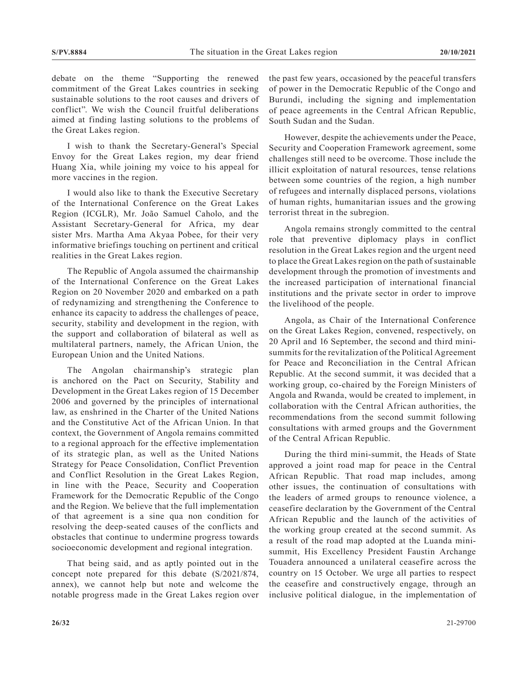debate on the theme "Supporting the renewed commitment of the Great Lakes countries in seeking sustainable solutions to the root causes and drivers of conflict". We wish the Council fruitful deliberations aimed at finding lasting solutions to the problems of the Great Lakes region.

I wish to thank the Secretary-General's Special Envoy for the Great Lakes region, my dear friend Huang Xia, while joining my voice to his appeal for more vaccines in the region.

I would also like to thank the Executive Secretary of the International Conference on the Great Lakes Region (ICGLR), Mr. João Samuel Caholo, and the Assistant Secretary-General for Africa, my dear sister Mrs. Martha Ama Akyaa Pobee, for their very informative briefings touching on pertinent and critical realities in the Great Lakes region.

The Republic of Angola assumed the chairmanship of the International Conference on the Great Lakes Region on 20 November 2020 and embarked on a path of redynamizing and strengthening the Conference to enhance its capacity to address the challenges of peace, security, stability and development in the region, with the support and collaboration of bilateral as well as multilateral partners, namely, the African Union, the European Union and the United Nations.

The Angolan chairmanship's strategic plan is anchored on the Pact on Security, Stability and Development in the Great Lakes region of 15 December 2006 and governed by the principles of international law, as enshrined in the Charter of the United Nations and the Constitutive Act of the African Union. In that context, the Government of Angola remains committed to a regional approach for the effective implementation of its strategic plan, as well as the United Nations Strategy for Peace Consolidation, Conflict Prevention and Conflict Resolution in the Great Lakes Region, in line with the Peace, Security and Cooperation Framework for the Democratic Republic of the Congo and the Region. We believe that the full implementation of that agreement is a sine qua non condition for resolving the deep-seated causes of the conflicts and obstacles that continue to undermine progress towards socioeconomic development and regional integration.

That being said, and as aptly pointed out in the concept note prepared for this debate (S/2021/874, annex), we cannot help but note and welcome the notable progress made in the Great Lakes region over the past few years, occasioned by the peaceful transfers of power in the Democratic Republic of the Congo and Burundi, including the signing and implementation of peace agreements in the Central African Republic, South Sudan and the Sudan.

However, despite the achievements under the Peace, Security and Cooperation Framework agreement, some challenges still need to be overcome. Those include the illicit exploitation of natural resources, tense relations between some countries of the region, a high number of refugees and internally displaced persons, violations of human rights, humanitarian issues and the growing terrorist threat in the subregion.

Angola remains strongly committed to the central role that preventive diplomacy plays in conflict resolution in the Great Lakes region and the urgent need to place the Great Lakes region on the path of sustainable development through the promotion of investments and the increased participation of international financial institutions and the private sector in order to improve the livelihood of the people.

Angola, as Chair of the International Conference on the Great Lakes Region, convened, respectively, on 20 April and 16 September, the second and third minisummits for the revitalization of the Political Agreement for Peace and Reconciliation in the Central African Republic. At the second summit, it was decided that a working group, co-chaired by the Foreign Ministers of Angola and Rwanda, would be created to implement, in collaboration with the Central African authorities, the recommendations from the second summit following consultations with armed groups and the Government of the Central African Republic.

During the third mini-summit, the Heads of State approved a joint road map for peace in the Central African Republic. That road map includes, among other issues, the continuation of consultations with the leaders of armed groups to renounce violence, a ceasefire declaration by the Government of the Central African Republic and the launch of the activities of the working group created at the second summit. As a result of the road map adopted at the Luanda minisummit, His Excellency President Faustin Archange Touadera announced a unilateral ceasefire across the country on 15 October. We urge all parties to respect the ceasefire and constructively engage, through an inclusive political dialogue, in the implementation of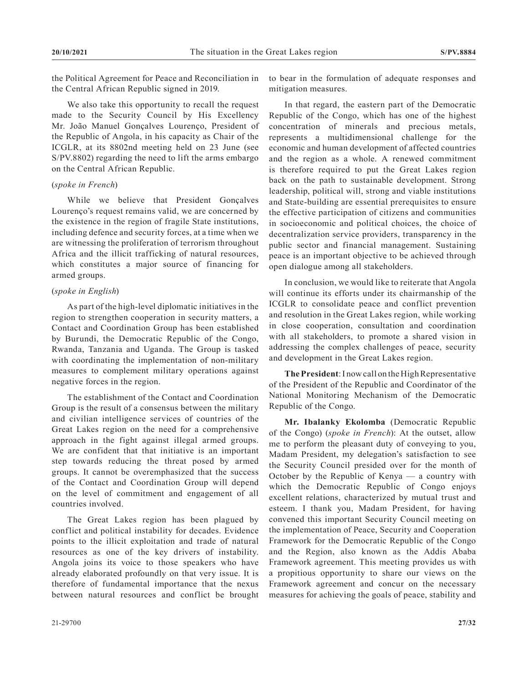the Political Agreement for Peace and Reconciliation in the Central African Republic signed in 2019.

We also take this opportunity to recall the request made to the Security Council by His Excellency Mr. João Manuel Gonçalves Lourenço, President of the Republic of Angola, in his capacity as Chair of the ICGLR, at its 8802nd meeting held on 23 June (see S/PV.8802) regarding the need to lift the arms embargo on the Central African Republic.

#### (*spoke in French*)

While we believe that President Gonçalves Lourenço's request remains valid, we are concerned by the existence in the region of fragile State institutions, including defence and security forces, at a time when we are witnessing the proliferation of terrorism throughout Africa and the illicit trafficking of natural resources, which constitutes a major source of financing for armed groups.

#### (*spoke in English*)

As part of the high-level diplomatic initiatives in the region to strengthen cooperation in security matters, a Contact and Coordination Group has been established by Burundi, the Democratic Republic of the Congo, Rwanda, Tanzania and Uganda. The Group is tasked with coordinating the implementation of non-military measures to complement military operations against negative forces in the region.

The establishment of the Contact and Coordination Group is the result of a consensus between the military and civilian intelligence services of countries of the Great Lakes region on the need for a comprehensive approach in the fight against illegal armed groups. We are confident that that initiative is an important step towards reducing the threat posed by armed groups. It cannot be overemphasized that the success of the Contact and Coordination Group will depend on the level of commitment and engagement of all countries involved.

The Great Lakes region has been plagued by conflict and political instability for decades. Evidence points to the illicit exploitation and trade of natural resources as one of the key drivers of instability. Angola joins its voice to those speakers who have already elaborated profoundly on that very issue. It is therefore of fundamental importance that the nexus between natural resources and conflict be brought to bear in the formulation of adequate responses and mitigation measures.

In that regard, the eastern part of the Democratic Republic of the Congo, which has one of the highest concentration of minerals and precious metals, represents a multidimensional challenge for the economic and human development of affected countries and the region as a whole. A renewed commitment is therefore required to put the Great Lakes region back on the path to sustainable development. Strong leadership, political will, strong and viable institutions and State-building are essential prerequisites to ensure the effective participation of citizens and communities in socioeconomic and political choices, the choice of decentralization service providers, transparency in the public sector and financial management. Sustaining peace is an important objective to be achieved through open dialogue among all stakeholders.

In conclusion, we would like to reiterate that Angola will continue its efforts under its chairmanship of the ICGLR to consolidate peace and conflict prevention and resolution in the Great Lakes region, while working in close cooperation, consultation and coordination with all stakeholders, to promote a shared vision in addressing the complex challenges of peace, security and development in the Great Lakes region.

**The President**: I now call on the High Representative of the President of the Republic and Coordinator of the National Monitoring Mechanism of the Democratic Republic of the Congo.

**Mr. Ibalanky Ekolomba** (Democratic Republic of the Congo) (*spoke in French*): At the outset, allow me to perform the pleasant duty of conveying to you, Madam President, my delegation's satisfaction to see the Security Council presided over for the month of October by the Republic of Kenya — a country with which the Democratic Republic of Congo enjoys excellent relations, characterized by mutual trust and esteem. I thank you, Madam President, for having convened this important Security Council meeting on the implementation of Peace, Security and Cooperation Framework for the Democratic Republic of the Congo and the Region, also known as the Addis Ababa Framework agreement. This meeting provides us with a propitious opportunity to share our views on the Framework agreement and concur on the necessary measures for achieving the goals of peace, stability and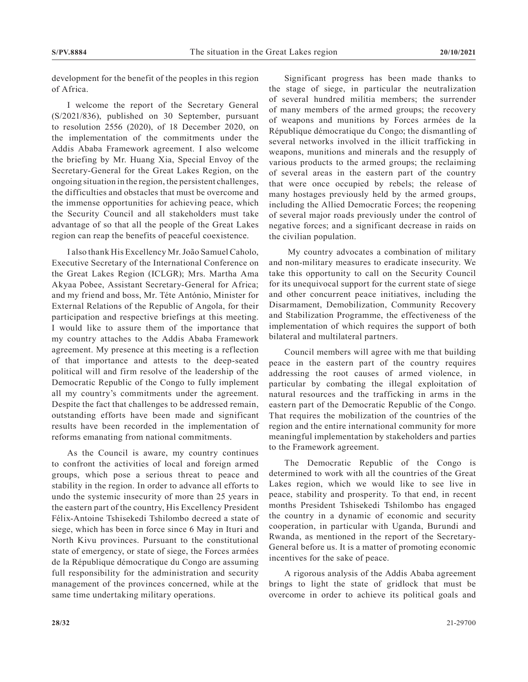development for the benefit of the peoples in this region of Africa.

I welcome the report of the Secretary General (S/2021/836), published on 30 September, pursuant to resolution 2556 (2020), of 18 December 2020, on the implementation of the commitments under the Addis Ababa Framework agreement. I also welcome the briefing by Mr. Huang Xia, Special Envoy of the Secretary-General for the Great Lakes Region, on the ongoing situation in the region, the persistent challenges, the difficulties and obstacles that must be overcome and the immense opportunities for achieving peace, which the Security Council and all stakeholders must take advantage of so that all the people of the Great Lakes region can reap the benefits of peaceful coexistence.

I also thank His Excellency Mr. João Samuel Caholo, Executive Secretary of the International Conference on the Great Lakes Region (ICLGR); Mrs. Martha Ama Akyaa Pobee, Assistant Secretary-General for Africa; and my friend and boss, Mr. Téte António, Minister for External Relations of the Republic of Angola, for their participation and respective briefings at this meeting. I would like to assure them of the importance that my country attaches to the Addis Ababa Framework agreement. My presence at this meeting is a reflection of that importance and attests to the deep-seated political will and firm resolve of the leadership of the Democratic Republic of the Congo to fully implement all my country's commitments under the agreement. Despite the fact that challenges to be addressed remain, outstanding efforts have been made and significant results have been recorded in the implementation of reforms emanating from national commitments.

As the Council is aware, my country continues to confront the activities of local and foreign armed groups, which pose a serious threat to peace and stability in the region. In order to advance all efforts to undo the systemic insecurity of more than 25 years in the eastern part of the country, His Excellency President Félix-Antoine Tshisekedi Tshilombo decreed a state of siege, which has been in force since 6 May in Ituri and North Kivu provinces. Pursuant to the constitutional state of emergency, or state of siege, the Forces armées de la République démocratique du Congo are assuming full responsibility for the administration and security management of the provinces concerned, while at the same time undertaking military operations.

Significant progress has been made thanks to the stage of siege, in particular the neutralization of several hundred militia members; the surrender of many members of the armed groups; the recovery of weapons and munitions by Forces armées de la République démocratique du Congo; the dismantling of several networks involved in the illicit trafficking in weapons, munitions and minerals and the resupply of various products to the armed groups; the reclaiming of several areas in the eastern part of the country that were once occupied by rebels; the release of many hostages previously held by the armed groups, including the Allied Democratic Forces; the reopening of several major roads previously under the control of negative forces; and a significant decrease in raids on the civilian population.

 My country advocates a combination of military and non-military measures to eradicate insecurity. We take this opportunity to call on the Security Council for its unequivocal support for the current state of siege and other concurrent peace initiatives, including the Disarmament, Demobilization, Community Recovery and Stabilization Programme, the effectiveness of the implementation of which requires the support of both bilateral and multilateral partners.

Council members will agree with me that building peace in the eastern part of the country requires addressing the root causes of armed violence, in particular by combating the illegal exploitation of natural resources and the trafficking in arms in the eastern part of the Democratic Republic of the Congo. That requires the mobilization of the countries of the region and the entire international community for more meaningful implementation by stakeholders and parties to the Framework agreement.

The Democratic Republic of the Congo is determined to work with all the countries of the Great Lakes region, which we would like to see live in peace, stability and prosperity. To that end, in recent months President Tshisekedi Tshilombo has engaged the country in a dynamic of economic and security cooperation, in particular with Uganda, Burundi and Rwanda, as mentioned in the report of the Secretary-General before us. It is a matter of promoting economic incentives for the sake of peace.

A rigorous analysis of the Addis Ababa agreement brings to light the state of gridlock that must be overcome in order to achieve its political goals and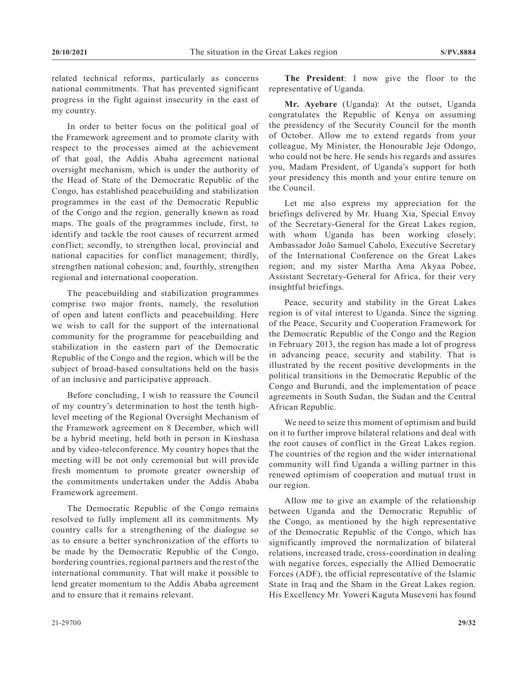related technical reforms, particularly as concerns national commitments. That has prevented significant progress in the fight against insecurity in the east of my country.

In order to better focus on the political goal of the Framework agreement and to promote clarity with respect to the processes aimed at the achievement of that goal, the Addis Ababa agreement national oversight mechanism, which is under the authority of the Head of State of the Democratic Republic of the Congo, has established peacebuilding and stabilization programmes in the east of the Democratic Republic of the Congo and the region, generally known as road maps. The goals of the programmes include, first, to identify and tackle the root causes of recurrent armed conflict; secondly, to strengthen local, provincial and national capacities for conflict management; thirdly, strengthen national cohesion; and, fourthly, strengthen regional and international cooperation.

The peacebuilding and stabilization programmes comprise two major fronts, namely, the resolution of open and latent conflicts and peacebuilding. Here we wish to call for the support of the international community for the programme for peacebuilding and stabilization in the eastern part of the Democratic Republic of the Congo and the region, which will be the subject of broad-based consultations held on the basis of an inclusive and participative approach.

Before concluding, I wish to reassure the Council of my country's determination to host the tenth highlevel meeting of the Regional Oversight Mechanism of the Framework agreement on 8 December, which will be a hybrid meeting, held both in person in Kinshasa and by video-teleconference. My country hopes that the meeting will be not only ceremonial but will provide fresh momentum to promote greater ownership of the commitments undertaken under the Addis Ababa Framework agreement.

The Democratic Republic of the Congo remains resolved to fully implement all its commitments. My country calls for a strengthening of the dialogue so as to ensure a better synchronization of the efforts to be made by the Democratic Republic of the Congo, bordering countries, regional partners and the rest of the international community. That will make it possible to lend greater momentum to the Addis Ababa agreement and to ensure that it remains relevant.

**The President**: I now give the floor to the representative of Uganda.

**Mr. Ayebare** (Uganda): At the outset, Uganda congratulates the Republic of Kenya on assuming the presidency of the Security Council for the month of October. Allow me to extend regards from your colleague, My Minister, the Honourable Jeje Odongo, who could not be here. He sends his regards and assures you, Madam President, of Uganda's support for both your presidency this month and your entire tenure on the Council.

Let me also express my appreciation for the briefings delivered by Mr. Huang Xia, Special Envoy of the Secretary-General for the Great Lakes region, with whom Uganda has been working closely; Ambassador João Samuel Caholo, Executive Secretary of the International Conference on the Great Lakes region; and my sister Martha Ama Akyaa Pobee, Assistant Secretary-General for Africa, for their very insightful briefings.

Peace, security and stability in the Great Lakes region is of vital interest to Uganda. Since the signing of the Peace, Security and Cooperation Framework for the Democratic Republic of the Congo and the Region in February 2013, the region has made a lot of progress in advancing peace, security and stability. That is illustrated by the recent positive developments in the political transitions in the Democratic Republic of the Congo and Burundi, and the implementation of peace agreements in South Sudan, the Sudan and the Central African Republic.

We need to seize this moment of optimism and build on it to further improve bilateral relations and deal with the root causes of conflict in the Great Lakes region. The countries of the region and the wider international community will find Uganda a willing partner in this renewed optimism of cooperation and mutual trust in our region.

Allow me to give an example of the relationship between Uganda and the Democratic Republic of the Congo, as mentioned by the high representative of the Democratic Republic of the Congo, which has significantly improved the normalization of bilateral relations, increased trade, cross-coordination in dealing with negative forces, especially the Allied Democratic Forces (ADF), the official representative of the Islamic State in Iraq and the Sham in the Great Lakes region. His Excellency Mr. Yoweri Kaguta Museveni has found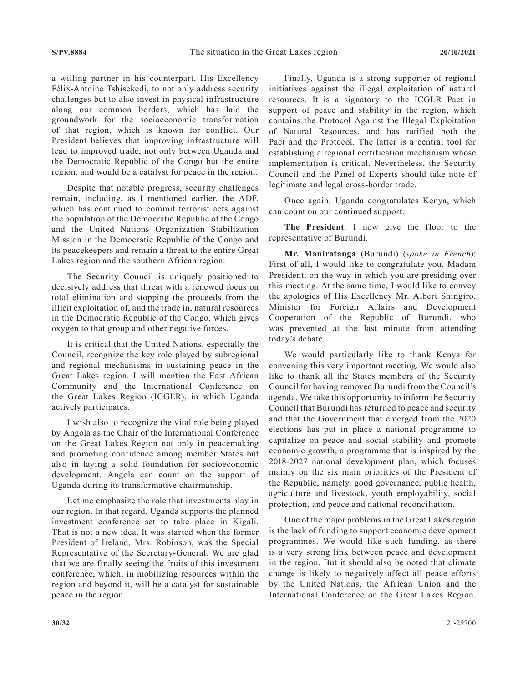a willing partner in his counterpart, His Excellency Félix-Antoine Tshisekedi, to not only address security challenges but to also invest in physical infrastructure along our common borders, which has laid the groundwork for the socioeconomic transformation of that region, which is known for conflict. Our President believes that improving infrastructure will lead to improved trade, not only between Uganda and the Democratic Republic of the Congo but the entire region, and would be a catalyst for peace in the region.

Despite that notable progress, security challenges remain, including, as I mentioned earlier, the ADF, which has continued to commit terrorist acts against the population of the Democratic Republic of the Congo and the United Nations Organization Stabilization Mission in the Democratic Republic of the Congo and its peacekeepers and remain a threat to the entire Great Lakes region and the southern African region.

The Security Council is uniquely positioned to decisively address that threat with a renewed focus on total elimination and stopping the proceeds from the illicit exploitation of, and the trade in, natural resources in the Democratic Republic of the Congo, which gives oxygen to that group and other negative forces.

It is critical that the United Nations, especially the Council, recognize the key role played by subregional and regional mechanisms in sustaining peace in the Great Lakes region. I will mention the East African Community and the International Conference on the Great Lakes Region (ICGLR), in which Uganda actively participates.

I wish also to recognize the vital role being played by Angola as the Chair of the International Conference on the Great Lakes Region not only in peacemaking and promoting confidence among member States but also in laying a solid foundation for socioeconomic development. Angola can count on the support of Uganda during its transformative chairmanship.

Let me emphasize the role that investments play in our region. In that regard, Uganda supports the planned investment conference set to take place in Kigali. That is not a new idea. It was started when the former President of Ireland, Mrs. Robinson, was the Special Representative of the Secretary-General. We are glad that we are finally seeing the fruits of this investment conference, which, in mobilizing resources within the region and beyond it, will be a catalyst for sustainable peace in the region.

Finally, Uganda is a strong supporter of regional initiatives against the illegal exploitation of natural resources. It is a signatory to the ICGLR Pact in support of peace and stability in the region, which contains the Protocol Against the Illegal Exploitation of Natural Resources, and has ratified both the Pact and the Protocol. The latter is a central tool for establishing a regional certification mechanism whose implementation is critical. Nevertheless, the Security Council and the Panel of Experts should take note of legitimate and legal cross-border trade.

Once again, Uganda congratulates Kenya, which can count on our continued support.

**The President**: I now give the floor to the representative of Burundi.

**Mr. Maniratanga** (Burundi) (*spoke in French*): First of all, I would like to congratulate you, Madam President, on the way in which you are presiding over this meeting. At the same time, I would like to convey the apologies of His Excellency Mr. Albert Shingiro, Minister for Foreign Affairs and Development Cooperation of the Republic of Burundi, who was prevented at the last minute from attending today's debate.

We would particularly like to thank Kenya for convening this very important meeting. We would also like to thank all the States members of the Security Council for having removed Burundi from the Council's agenda. We take this opportunity to inform the Security Council that Burundi has returned to peace and security and that the Government that emerged from the 2020 elections has put in place a national programme to capitalize on peace and social stability and promote economic growth, a programme that is inspired by the 2018-2027 national development plan, which focuses mainly on the six main priorities of the President of the Republic, namely, good governance, public health, agriculture and livestock, youth employability, social protection, and peace and national reconciliation.

One of the major problems in the Great Lakes region is the lack of funding to support economic development programmes. We would like such funding, as there is a very strong link between peace and development in the region. But it should also be noted that climate change is likely to negatively affect all peace efforts by the United Nations, the African Union and the International Conference on the Great Lakes Region.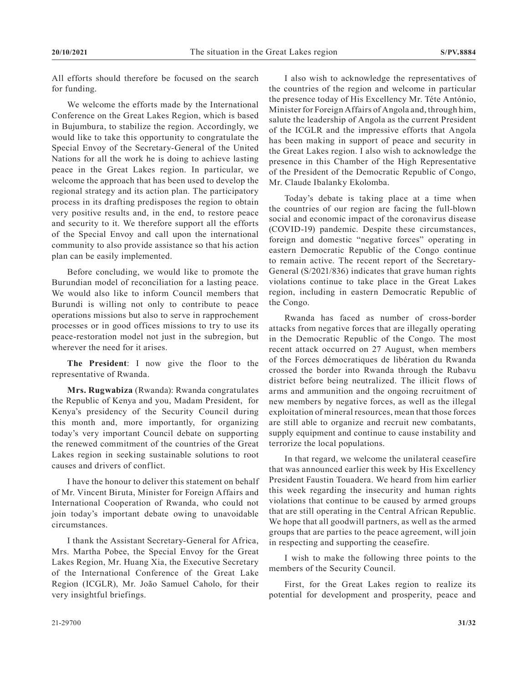All efforts should therefore be focused on the search for funding.

We welcome the efforts made by the International Conference on the Great Lakes Region, which is based in Bujumbura, to stabilize the region. Accordingly, we would like to take this opportunity to congratulate the Special Envoy of the Secretary-General of the United Nations for all the work he is doing to achieve lasting peace in the Great Lakes region. In particular, we welcome the approach that has been used to develop the regional strategy and its action plan. The participatory process in its drafting predisposes the region to obtain very positive results and, in the end, to restore peace and security to it. We therefore support all the efforts of the Special Envoy and call upon the international community to also provide assistance so that his action plan can be easily implemented.

Before concluding, we would like to promote the Burundian model of reconciliation for a lasting peace. We would also like to inform Council members that Burundi is willing not only to contribute to peace operations missions but also to serve in rapprochement processes or in good offices missions to try to use its peace-restoration model not just in the subregion, but wherever the need for it arises.

**The President**: I now give the floor to the representative of Rwanda.

**Mrs. Rugwabiza** (Rwanda): Rwanda congratulates the Republic of Kenya and you, Madam President, for Kenya's presidency of the Security Council during this month and, more importantly, for organizing today's very important Council debate on supporting the renewed commitment of the countries of the Great Lakes region in seeking sustainable solutions to root causes and drivers of conflict.

I have the honour to deliver this statement on behalf of Mr. Vincent Biruta, Minister for Foreign Affairs and International Cooperation of Rwanda, who could not join today's important debate owing to unavoidable circumstances.

I thank the Assistant Secretary-General for Africa, Mrs. Martha Pobee, the Special Envoy for the Great Lakes Region, Mr. Huang Xia, the Executive Secretary of the International Conference of the Great Lake Region (ICGLR), Mr. João Samuel Caholo, for their very insightful briefings.

I also wish to acknowledge the representatives of the countries of the region and welcome in particular the presence today of His Excellency Mr. Téte António, Minister for Foreign Affairs of Angola and, through him, salute the leadership of Angola as the current President of the ICGLR and the impressive efforts that Angola has been making in support of peace and security in the Great Lakes region. I also wish to acknowledge the presence in this Chamber of the High Representative of the President of the Democratic Republic of Congo, Mr. Claude Ibalanky Ekolomba.

Today's debate is taking place at a time when the countries of our region are facing the full-blown social and economic impact of the coronavirus disease (COVID-19) pandemic. Despite these circumstances, foreign and domestic "negative forces" operating in eastern Democratic Republic of the Congo continue to remain active. The recent report of the Secretary-General (S/2021/836) indicates that grave human rights violations continue to take place in the Great Lakes region, including in eastern Democratic Republic of the Congo.

Rwanda has faced as number of cross-border attacks from negative forces that are illegally operating in the Democratic Republic of the Congo. The most recent attack occurred on 27 August, when members of the Forces démocratiques de libération du Rwanda crossed the border into Rwanda through the Rubavu district before being neutralized. The illicit flows of arms and ammunition and the ongoing recruitment of new members by negative forces, as well as the illegal exploitation of mineral resources, mean that those forces are still able to organize and recruit new combatants, supply equipment and continue to cause instability and terrorize the local populations.

In that regard, we welcome the unilateral ceasefire that was announced earlier this week by His Excellency President Faustin Touadera. We heard from him earlier this week regarding the insecurity and human rights violations that continue to be caused by armed groups that are still operating in the Central African Republic. We hope that all goodwill partners, as well as the armed groups that are parties to the peace agreement, will join in respecting and supporting the ceasefire.

I wish to make the following three points to the members of the Security Council.

First, for the Great Lakes region to realize its potential for development and prosperity, peace and